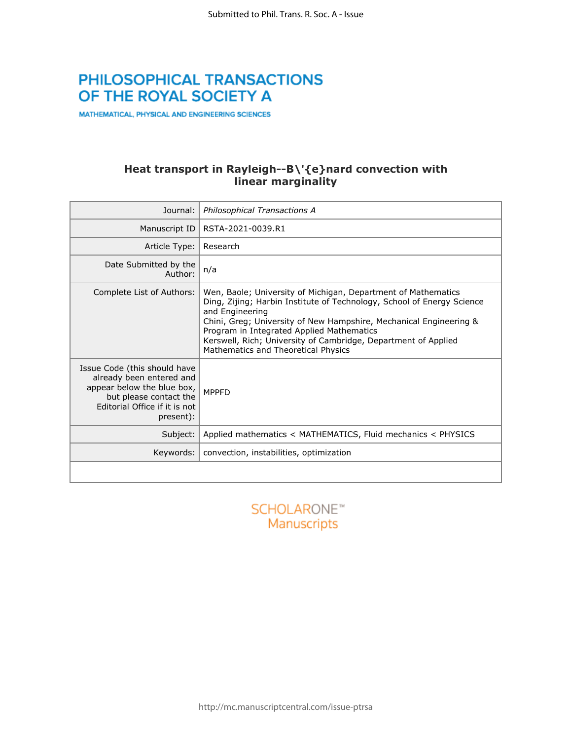# PHILOSOPHICAL TRANSACTIONS OF THE ROYAL SOCIETY A

MATHEMATICAL, PHYSICAL AND ENGINEERING SCIENCES

### **Heat transport in Rayleigh--B\'{e}nard convection with linear marginality**

| Journal:                                                                                                                                                       | Philosophical Transactions A                                                                                                                                                                                                                                                                                                                                                           |  |  |  |  |
|----------------------------------------------------------------------------------------------------------------------------------------------------------------|----------------------------------------------------------------------------------------------------------------------------------------------------------------------------------------------------------------------------------------------------------------------------------------------------------------------------------------------------------------------------------------|--|--|--|--|
| Manuscript ID                                                                                                                                                  | RSTA-2021-0039.R1                                                                                                                                                                                                                                                                                                                                                                      |  |  |  |  |
| Article Type:                                                                                                                                                  | Research                                                                                                                                                                                                                                                                                                                                                                               |  |  |  |  |
| Date Submitted by the<br>Author:                                                                                                                               | n/a                                                                                                                                                                                                                                                                                                                                                                                    |  |  |  |  |
| Complete List of Authors:                                                                                                                                      | Wen, Baole; University of Michigan, Department of Mathematics<br>Ding, Zijing; Harbin Institute of Technology, School of Energy Science<br>and Engineering<br>Chini, Greg; University of New Hampshire, Mechanical Engineering &<br>Program in Integrated Applied Mathematics<br>Kerswell, Rich; University of Cambridge, Department of Applied<br>Mathematics and Theoretical Physics |  |  |  |  |
| Issue Code (this should have<br>already been entered and<br>appear below the blue box,<br>but please contact the<br>Editorial Office if it is not<br>present): | <b>MPPFD</b>                                                                                                                                                                                                                                                                                                                                                                           |  |  |  |  |
| Subject:                                                                                                                                                       | Applied mathematics < MATHEMATICS, Fluid mechanics < PHYSICS                                                                                                                                                                                                                                                                                                                           |  |  |  |  |
| Keywords:                                                                                                                                                      | convection, instabilities, optimization                                                                                                                                                                                                                                                                                                                                                |  |  |  |  |
|                                                                                                                                                                |                                                                                                                                                                                                                                                                                                                                                                                        |  |  |  |  |

**SCHOLARONE™** Manuscripts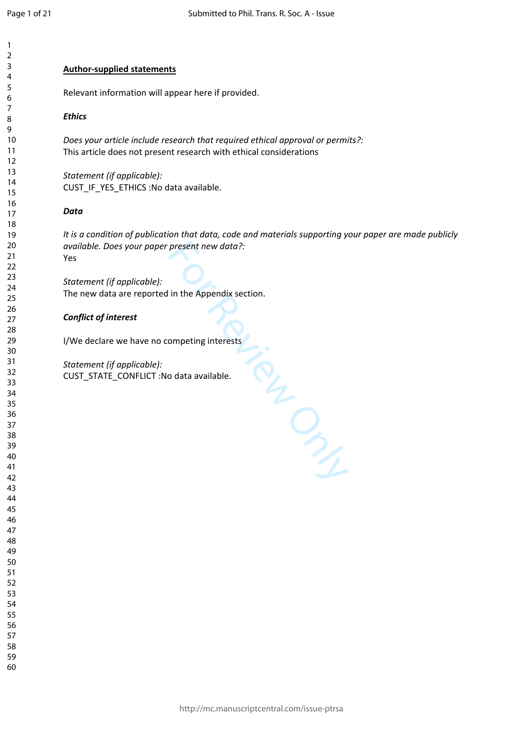### **Author-supplied statements**

Relevant information will appear here if provided.

### *Ethics*

*Does your article include research that required ethical approval or permits?:* This article does not present research with ethical considerations

*Statement (if applicable):* CUST\_IF\_YES\_ETHICS :No data available.

### *Data*

*It is a condition of publication that data, code and materials supporting your paper are made publicly available. Does your paper present new data?:* Yes

For Review Only

*Statement (if applicable):* The new data are reported in the Appendix section.

### *Conflict of interest*

I/We declare we have no competing interests

*Statement (if applicable):* CUST\_STATE\_CONFLICT :No data available.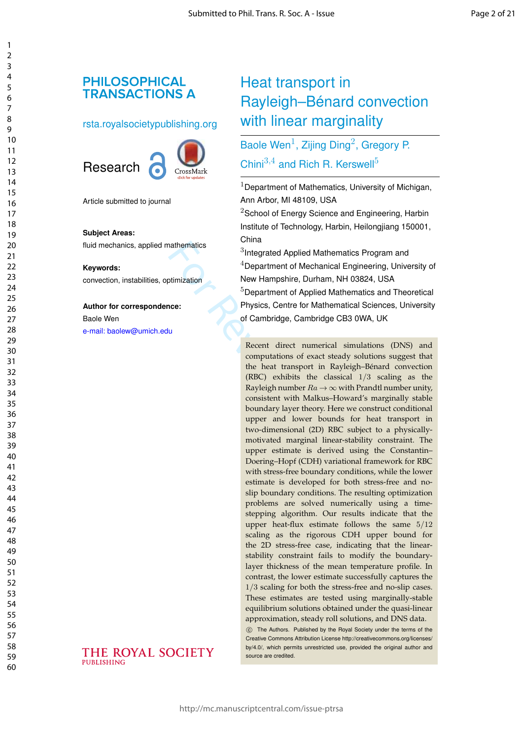## **PHILOSOPHICAL TRANSACTIONS A**

### rsta.royalsocietypublishing.org





Article submitted to journal

#### **Subject Areas:**

fluid mechanics, applied mathematics

#### **Keywords:**

convection, instabilities, optimization

### **Author for correspondence:**

Baole Wen [e-mail: baolew@umich.edu](mailto:baolew@umich.edu)

# Heat transport in Rayleigh–Bénard convection with linear marginality

# Baole Wen<sup>1</sup>, Zijing Ding<sup>2</sup>, Gregory P. Chini $^{3,4}$  and Rich R. Kerswell<sup>5</sup>

 $1$ Department of Mathematics, University of Michigan, Ann Arbor, MI 48109, USA

 $2$ School of Energy Science and Engineering, Harbin Institute of Technology, Harbin, Heilongjiang 150001, China

 $3$ Integrated Applied Mathematics Program and  $4$ Department of Mechanical Engineering, University of New Hampshire, Durham, NH 03824, USA <sup>5</sup>Department of Applied Mathematics and Theoretical Physics, Centre for Mathematical Sciences, University of Cambridge, Cambridge CB3 0WA, UK

For all the same supplied Mathematics<br>  $\frac{3}{2}$ Integrated Applied Mathemat<br>  $\frac{4}{2}$ Department of Mechanical Eistimization<br>
New Hampshire, Durham, NH<br>  $\frac{5}{2}$ Department of Applied Mathemation<br>
of Cambridge, Cambridge Recent direct numerical simulations (DNS) and computations of exact steady solutions suggest that the heat transport in Rayleigh–Bénard convection (RBC) exhibits the classical 1 / 3 scaling as the Rayleigh number  $Ra \rightarrow \infty$  with Prandtl number unity, consistent with Malkus–Howard's marginally stable boundary layer theory. Here we construct conditional upper and lower bounds for heat transport in two-dimensional (2D) RBC subject to a physicallymotivated marginal linear-stability constraint. The upper estimate is derived using the Constantin– Doering–Hopf (CDH) variational framework for RBC with stress-free boundary conditions, while the lower estimate is developed for both stress-free and noslip boundary conditions. The resulting optimization problems are solved numerically using a timestepping algorithm. Our results indicate that the upper heat-flux estimate follows the same 5 /12 scaling as the rigorous CDH upper bound for the 2D stress-free case, indicating that the linearstability constraint fails to modify the boundarylayer thickness of the mean temperature profile. In contrast, the lower estimate successfully captures the 1/3 scaling for both the stress-free and no-slip cases. These estimates are tested using marginally-stable equilibrium solutions obtained under the quasi-linear approximation, steady roll solutions, and DNS data.

> (C) The Authors. Published by the Royal Society under the terms of the Creative Commons Attribution License http://creativecommons.org/licenses/ by/4.0/, which permits unrestricted use, provided the original author and source are credited.

### THE ROYAL SOCIETY PHRI ISHING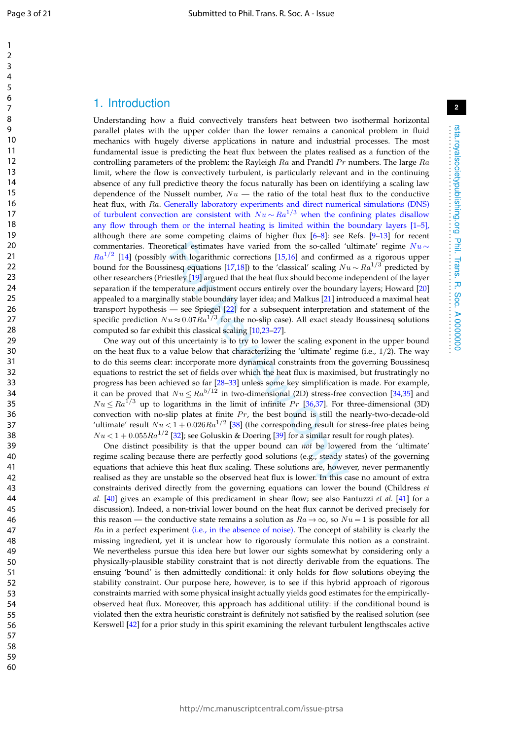$\mathbf{1}$  $\overline{2}$  $\overline{3}$  $\overline{4}$ 5 6  $\overline{7}$ 8

10

9

### 1. Introduction

Understanding how a fluid convectively transfers heat between two isothermal horizontal parallel plates with the upper colder than the lower remains a canonical problem in fluid mechanics with hugely diverse applications in nature and industrial processes. The most fundamental issue is predicting the heat flux between the plates realised as a function of the controlling parameters of the problem: the Rayleigh  $Ra$  and Prandtl  $Pr$  numbers. The large  $Ra$ limit, where the flow is convectively turbulent, is particularly relevant and in the continuing absence of any full predictive theory the focus naturally has been on identifying a scaling law dependence of the Nusselt number,  $Nu$  — the ratio of the total heat flux to the conductive heat flux, with Ra. Generally laboratory experiments and direct numerical simulations (DNS) of turbulent convection are consistent with  $Nu \sim Ra^{1/3}$  when the confining plates disallow any flow through them or the internal heating is limited within the boundary layers [1–5], although there are some competing claims of higher flux [ 6 – 8]: see Refs. [ 9 –13] for recent commentaries. Theoretical estimates have varied from the so-called 'ultimate' regime  $Nu \sim$  $Ra^{1/2}$  [14] (possibly with logarithmic corrections [15,16] and confirmed as a rigorous upper bound for the Boussinesq equations [17,18]) to the 'classical' scaling  $Nu \sim Ra^{1/3}$  predicted by other researchers (Priestley [19] argued that the heat flux should become independent of the layer separation if the temperature adjustment occurs entirely over the boundary layers; Howard [20 ] appealed to a marginally stable boundary layer idea; and Malkus [21] introduced a maximal heat transport hypothesis — see Spiegel [22] for a subsequent interpretation and statement of the specific prediction  $Nu\!\approx\!0.07Ra^{1/3}$  for the no-slip case). All exact steady Boussinesq solutions computed so far exhibit this classical scaling [10 ,23 –27].

etical estimates have varied from the so-called 'u'th logarithmic corrections [15,16] and confirme<br>nesq equations [17,18]) to the 'classical' scaling  $Nt$ <br>estley [19] argued that the heat flux should become in<br>erature adj One way out of this uncertainty is to try to lower the scaling exponent in the upper bound on the heat flux to a value below that characterizing the 'ultimate' regime (i.e., 1 / 2). The way to do this seems clear: incorporate more dynamical constraints from the governing Boussinesq equations to restrict the set of fields over which the heat flux is maximised, but frustratingly no progress has been achieved so far [28 –33] unless some key simplification is made. For example, it can be proved that  $Nu \leq Ra^{5/12}$  in two-dimensional (2D) stress-free convection [34,35] and  $Nu \leq Ra^{1/3}$  up to logarithms in the limit of infinite  $Pr$  [36,37]. For three-dimensional (3D) convection with no-slip plates at finite  $Pr$ , the best bound is still the nearly-two-decade-old 'ultimate' result  $Nu < 1 + 0.026Ra^{1/2}$  [38] (the corresponding result for stress-free plates being  $Nu < 1 + 0.055 Ra^{1/2}$  [32]; see Goluskin & Doering [39] for a similar result for rough plates).

One distinct possibility is that the upper bound can *not* be lowered from the 'ultimate' regime scaling because there are perfectly good solutions (e.g., steady states) of the governing equations that achieve this heat flux scaling. These solutions are, however, never permanently realised as they are unstable so the observed heat flux is lower. In this case no amount of extra constraints derived directly from the governing equations can lower the bound (Childress *et al.* [40] gives an example of this predicament in shear flow; see also Fantuzzi *et al.* [41] for a discussion). Indeed, a non-trivial lower bound on the heat flux cannot be derived precisely for this reason — the conductive state remains a solution as  $Ra \to \infty$ , so  $Nu = 1$  is possible for all Ra in a perfect experiment (i.e., in the absence of noise). The concept of stability is clearly the missing ingredient, yet it is unclear how to rigorously formulate this notion as a constraint. We nevertheless pursue this idea here but lower our sights somewhat by considering only a physically-plausible stability constraint that is not directly derivable from the equations. The ensuing 'bound' is then admittedly conditional: it only holds for flow solutions obeying the stability constraint. Our purpose here, however, is to see if this hybrid approach of rigorous constraints married with some physical insight actually yields good estimates for the empiricallyobserved heat flux. Moreover, this approach has additional utility: if the conditional bound is violated then the extra heuristic constraint is definitely not satisfied by the realised solution (see Kerswell [42] for a prior study in this spirit examining the relevant turbulent lengthscales active

rsta.royalsocietypublishing.org Phil. Trans. R. Soc. A 0000000 . . . . . . . . . . . . . . . . . . . . . . . . . . . . . . . . . . . . . . . . . . . . . . . . . . . . . . . . . . . . . . . . . .

rsta.royalsocietypublishing.org Phil. Trans. R. Soc. A 0000000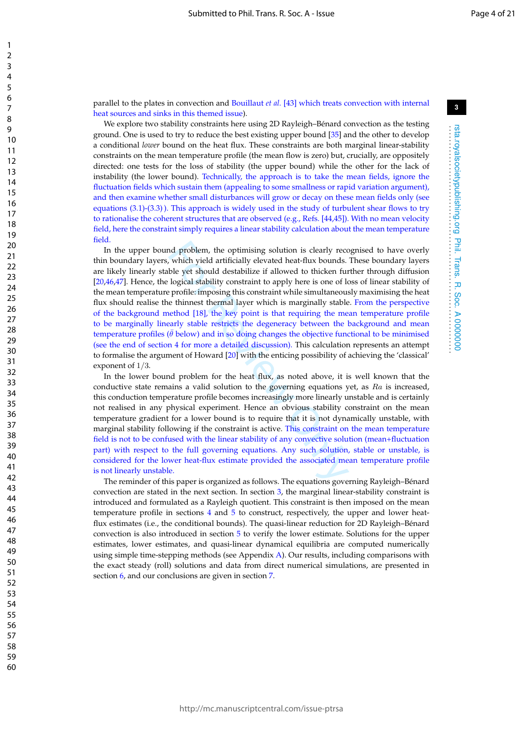parallel to the plates in convection and Bouillaut *et al.* [43] which treats convection with internal heat sources and sinks in this themed issue).

We explore two stability constraints here using 2D Rayleigh–Bénard convection as the testing ground. One is used to try to reduce the best existing upper bound [35] and the other to develop a conditional *lower* bound on the heat flux. These constraints are both marginal linear-stability constraints on the mean temperature profile (the mean flow is zero) but, crucially, are oppositely directed: one tests for the loss of stability (the upper bound) while the other for the lack of instability (the lower bound). Technically, the approach is to take the mean fields, ignore the fluctuation fields which sustain them (appealing to some smallness or rapid variation argument), and then examine whether small disturbances will grow or decay on these mean fields only (see equations (3.1)-(3.3) ). This approach is widely used in the study of turbulent shear flows to try to rationalise the coherent structures that are observed (e.g., Refs. [44,45]). With no mean velocity field, here the constraint simply requires a linear stability calculation about the mean temperature field.

nd problem, the optimising solution is clearly recct, which yield artificially elevated heat-flux bounds.<br>ble yet should destabilize if allowed to thicken furtogical stability constraint to apply here is one of lacktor fu In the upper bound problem, the optimising solution is clearly recognised to have overly thin boundary layers, which yield artificially elevated heat-flux bounds. These boundary layers are likely linearly stable yet should destabilize if allowed to thicken further through diffusion [20,46,47]. Hence, the logical stability constraint to apply here is one of loss of linear stability of the mean temperature profile: imposing this constraint while simultaneously maximising the heat flux should realise the thinnest thermal layer which is marginally stable. From the perspective of the background method [18], the key point is that requiring the mean temperature profile to be marginally linearly stable restricts the degeneracy between the background and mean temperature profiles ( $\bar{\theta}$  below) and in so doing changes the objective functional to be minimised (see the end of section 4 for more a detailed discussion). This calculation represents an attempt to formalise the argument of Howard [20] with the enticing possibility of achieving the 'classical' exponent of 1 / 3 .

In the lower bound problem for the heat flux, as noted above, it is well known that the conductive state remains a valid solution to the governing equations yet, as  $Ra$  is increased, this conduction temperature profile becomes increasingly more linearly unstable and is certainly not realised in any physical experiment. Hence an obvious stability constraint on the mean temperature gradient for a lower bound is to require that it is not dynamically unstable, with marginal stability following if the constraint is active. This constraint on the mean temperature field is not to be confused with the linear stability of any convective solution (mean+fluctuation part) with respect to the full governing equations. Any such solution, stable or unstable, is considered for the lower heat-flux estimate provided the associated mean temperature profile is not linearly unstable.

The reminder of this paper is organized as follows. The equations governing Rayleigh–Bénard convection are stated in the next section. In section 3, the marginal linear-stability constraint is introduced and formulated as a Rayleigh quotient. This constraint is then imposed on the mean temperature profile in sections 4 and 5 to construct, respectively, the upper and lower heatflux estimates (i.e., the conditional bounds). The quasi-linear reduction for 2D Rayleigh–Bénard convection is also introduced in section 5 to verify the lower estimate. Solutions for the upper estimates, lower estimates, and quasi-linear dynamical equilibria are computed numerically using simple time-stepping methods (see Appendix A). Our results, including comparisons with the exact steady (roll) solutions and data from direct numerical simulations, are presented in section 6, and our conclusions are given in section 7 .

rsta.royalsocietypublishing.org Phil. Trans. R. Soc. A 0000000 . . . . . . . . . . . . . . . . . . . . . . . . . . . . . . . . . . . . . . . . . . . . . . . . . . . . . . . . . . . . . . . . . .

Phil. Trans. R. Soc. A 0000000

rsta.royalsocietypublishing.org

 $\mathbf{1}$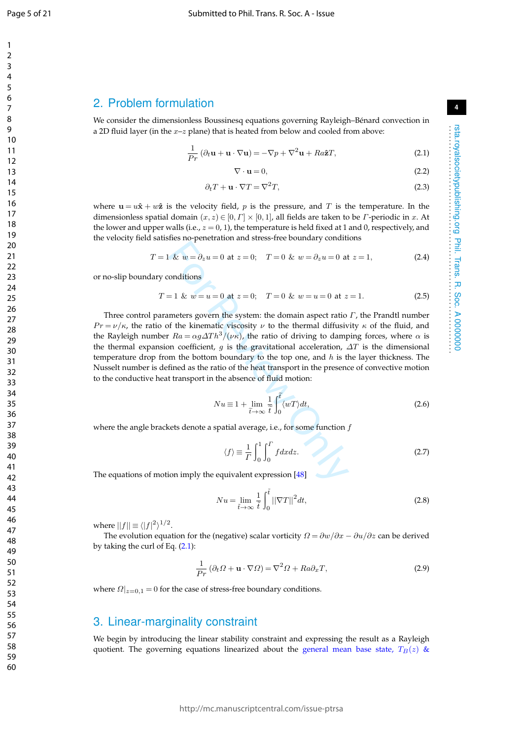$\mathbf{1}$ 

### 2. Problem formulation

We consider the dimensionless Boussinesq equations governing Rayleigh–Bénard convection in a 2D fluid layer (in the  $x$ – $z$  plane) that is heated from below and cooled from above:

$$
\frac{1}{Pr} (\partial_t \mathbf{u} + \mathbf{u} \cdot \nabla \mathbf{u}) = -\nabla p + \nabla^2 \mathbf{u} + Ra\hat{\mathbf{z}}T,
$$
\n(2.1)

$$
\nabla \cdot \mathbf{u} = 0,\tag{2.2}
$$

**4**

rsta.royalsocietypublishing.org Phil. Trans. R. Soc. A 0000000 . . . . . . . . . . . . . . . . . . . . . . . . . . . . . . . . . . . . . . . . . . . . . . . . . . . . . . . . . . . . . . . . . .

rsta.royalsocietypublishing.org Phil. Trans. R. Soc. A 0000000

$$
\partial_t T + \mathbf{u} \cdot \nabla T = \nabla^2 T,\tag{2.3}
$$

where  $\mathbf{u} = u\hat{\mathbf{x}} + w\hat{\mathbf{z}}$  is the velocity field, p is the pressure, and T is the temperature. In the dimensionless spatial domain  $(x, z) \in [0, \Gamma] \times [0, 1]$ , all fields are taken to be *Γ*-periodic in *x*. At the lower and upper walls (i.e.,  $z = 0$ , 1), the temperature is held fixed at 1 and 0, respectively, and the velocity field satisfies no-penetration and stress-free boundary conditions

$$
T = 1 \& w = \partial_z u = 0 \text{ at } z = 0; \quad T = 0 \& w = \partial_z u = 0 \text{ at } z = 1,
$$
 (2.4)

or no-slip boundary conditions

$$
T = 1 \& w = u = 0 \text{ at } z = 0; \quad T = 0 \& w = u = 0 \text{ at } z = 1. \tag{2.5}
$$

Let  $w = \partial_z u = 0$  at  $z = 0$ ;  $T = 0$  &  $w = \partial_z u = 0$  at<br>onditions<br>=1 &  $w = u = 0$  at  $z = 0$ ;  $T = 0$  &  $w = u = 0$  at  $z$ <br>meters govern the system: the domain aspect ratio<br>of the kinematic viscosity  $\nu$  to the thermal diffusiv<br> $Ra =$ Three control parameters govern the system: the domain aspect ratio  $\Gamma$ , the Prandtl number  $Pr = \nu/\kappa$ , the ratio of the kinematic viscosity  $\nu$  to the thermal diffusivity  $\kappa$  of the fluid, and the Rayleigh number  $Ra = \alpha g \Delta T h^3/(\nu \kappa)$ , the ratio of driving to damping forces, where  $\alpha$  is the thermal expansion coefficient, g is the gravitational acceleration,  $\Delta T$  is the dimensional temperature drop from the bottom boundary to the top one, and  $h$  is the layer thickness. The Nusselt number is defined as the ratio of the heat transport in the presence of convective motion to the conductive heat transport in the absence of fluid motion:

$$
Nu \equiv 1 + \lim_{\tilde{t} \to \infty} \frac{1}{\tilde{t}} \int_0^{\tilde{t}} \langle wT \rangle dt,
$$
\n(2.6)

where the angle brackets denote a spatial average, i.e., for some function  $f$ 

$$
\langle f \rangle \equiv \frac{1}{\Gamma} \int_0^1 \int_0^{\Gamma} f dx dz.
$$
 (2.7)

The equations of motion imply the equivalent expression [48 ]

$$
Nu = \lim_{\tilde{t} \to \infty} \frac{1}{\tilde{t}} \int_0^{\tilde{t}} ||\nabla T||^2 dt,
$$
\n(2.8)

where  $||f|| \equiv \langle |f|^2 \rangle^{1/2}$ .

The evolution equation for the (negative) scalar vorticity  $\Omega = \partial w/\partial x - \partial u/\partial z$  can be derived by taking the curl of Eq. (2.1):

$$
\frac{1}{Pr} (\partial_t \Omega + \mathbf{u} \cdot \nabla \Omega) = \nabla^2 \Omega + Ra \partial_x T,
$$
\n(2.9)

where  $\Omega|_{z=0,1}=0$  for the case of stress-free boundary conditions.

### 3. Linear-marginality constraint

We begin by introducing the linear stability constraint and expressing the result as a Rayleigh quotient. The governing equations linearized about the general mean base state,  $T_B(z)$  &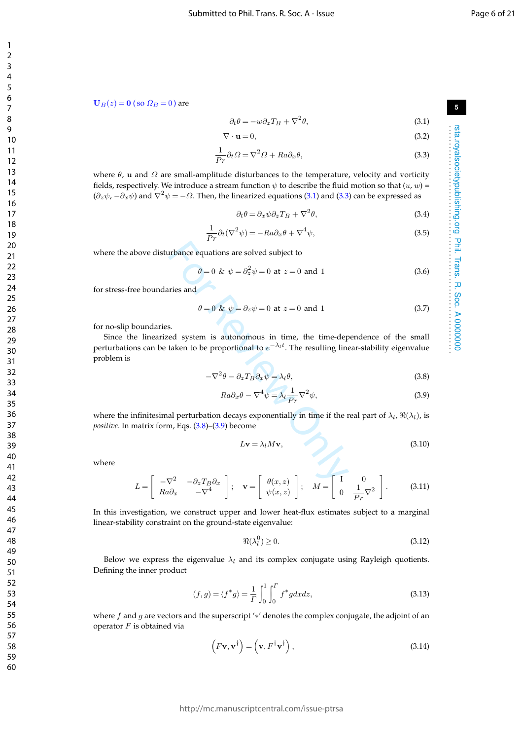$\mathbf{1}$ 

**5**

rsta.royalsocietypublishing.org Phil. Trans. R. Soc. A 0000000 . . . . . . . . . . . . . . . . . . . . . . . . . . . . . . . . . . . . . . . . . . . . . . . . . . . . . . . . . . . . . . . . . .

rsta.royalsocietypublishing.org Phil. Trans. R. Soc. A 0000000<br>rsta.royalsocietypublishing.org Phil. Trans. R. Soc. A 0000000

 $\mathbf{U}_B(z) = \mathbf{0}$  (so  $\Omega_B = 0$ ) are

$$
\partial_t \theta = -w \partial_z T_B + \nabla^2 \theta,\tag{3.1}
$$

$$
\nabla \cdot \mathbf{u} = 0,\tag{3.2}
$$

$$
\frac{1}{Pr}\partial_t \Omega = \nabla^2 \Omega + Ra \partial_x \theta,\tag{3.3}
$$

where  $\theta$ , **u** and  $\Omega$  are small-amplitude disturbances to the temperature, velocity and vorticity fields, respectively. We introduce a stream function  $\psi$  to describe the fluid motion so that  $(u,w)$  =  $(\partial_z\psi, -\partial_x\psi)$  and  $\nabla^2\psi = -\Omega$ . Then, the linearized equations (3.1) and (3.3) can be expressed as

$$
\partial_t \theta = \partial_x \psi \partial_z T_B + \nabla^2 \theta,\tag{3.4}
$$

$$
\frac{1}{Pr}\partial_t(\nabla^2\psi) = -Ra\partial_x\theta + \nabla^4\psi,
$$
\n(3.5)

where the above disturbance equations are solved subject to

$$
\theta = 0 \& \psi = \partial_z^2 \psi = 0 \text{ at } z = 0 \text{ and } 1
$$
 (3.6)

for stress-free boundaries and

$$
\theta = 0 \& \psi = \partial_z \psi = 0 \text{ at } z = 0 \text{ and } 1 \tag{3.7}
$$

for no-slip boundaries.

The parameter equations are solved subject to<br>  $\theta = 0$  &  $\psi = \partial_z^2 \psi = 0$  at  $z = 0$  and 1<br>
Tries and<br>  $\theta = 0$  &  $\psi = \partial_z \psi = 0$  at  $z = 0$  and 1<br>
s.<br>
S.<br>
Exercy of the proportional to  $e^{-\lambda_1 t}$ . The resulting line<br>  $-\nabla^2 \theta$ Since the linearized system is autonomous in time, the time-dependence of the small perturbations can be taken to be proportional to  $e^{-\lambda_l t}$ . The resulting linear-stability eigenvalue problem is

$$
-\nabla^2 \theta - \partial_z T_B \partial_x \psi = \lambda_l \theta,\tag{3.8}
$$

$$
Ra\partial_x\theta - \nabla^4\psi = \lambda_l \frac{1}{Pr}\nabla^2\psi,\tag{3.9}
$$

where the infinitesimal perturbation decays exponentially in time if the real part of  $\lambda_l$ ,  $\Re(\lambda_l)$ , is *positive*. In matrix form, Eqs. (3.8)–(3.9) become

$$
L\mathbf{v} = \lambda_l M \mathbf{v},\tag{3.10}
$$

where

$$
L = \begin{bmatrix} -\nabla^2 & -\partial_z T_B \partial_x \\ Ra \partial_x & -\nabla^4 \end{bmatrix}; \quad \mathbf{v} = \begin{bmatrix} \theta(x, z) \\ \psi(x, z) \end{bmatrix}; \quad M = \begin{bmatrix} I & 0 \\ 0 & \frac{1}{Pr} \nabla^2 \end{bmatrix}.
$$
 (3.11)

In this investigation, we construct upper and lower heat-flux estimates subject to a marginal linear-stability constraint on the ground-state eigenvalue:

$$
\Re(\lambda_l^0) \ge 0. \tag{3.12}
$$

Below we express the eigenvalue  $\lambda_l$  and its complex conjugate using Rayleigh quotients. Defining the inner product

$$
(f,g) = \langle f^*g \rangle = \frac{1}{\Gamma} \int_0^1 \int_0^{\Gamma} f^*g dx dz,
$$
\n(3.13)

where  $f$  and  $g$  are vectors and the superscript '\*' denotes the complex conjugate, the adjoint of an operator  $F$  is obtained via

$$
\left(F\mathbf{v}, \mathbf{v}^{\dagger}\right) = \left(\mathbf{v}, F^{\dagger}\mathbf{v}^{\dagger}\right),\tag{3.14}
$$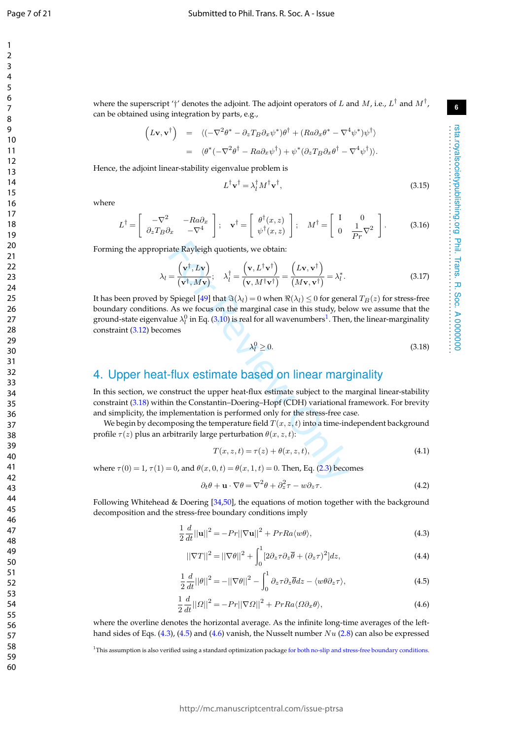$\mathbf{1}$  $\overline{2}$  $\overline{3}$  $\overline{4}$ 5 6  $\overline{7}$ 8  $\mathsf{o}$ 

rsta.royalsocietypublishing.org Phil. Trans. R. Soc. A 0000000 . . . . . . . . . . . . . . . . . . . . . . . . . . . . . . . . . . . . . . . . . . . . . . . . . . . . . . . . . . . . . . . . . .

Phil. Trans. R. Soc. A 0000000

rsta.royalsocietypublishing.org Phil. Trans. R. S.<br>rsta.royalsocietypublishing.org

where the superscript '†' denotes the adjoint. The adjoint operators of L and M, i.e.,  $L^\dagger$  and  $M^\dagger$ , can be obtained using integration by parts, e.g.,

$$
\begin{array}{rcl}\n\left(L\mathbf{v},\mathbf{v}^{\dagger}\right) & = & \langle(-\nabla^2\theta^* - \partial_z T_B \partial_x \psi^*)\theta^{\dagger} + (Ra\partial_x \theta^* - \nabla^4 \psi^*)\psi^{\dagger}\rangle \\
& = & \langle\theta^*(-\nabla^2\theta^{\dagger} - Ra\partial_x \psi^{\dagger}) + \psi^*(\partial_z T_B \partial_x \theta^{\dagger} - \nabla^4 \psi^{\dagger})\rangle.\n\end{array}
$$

Hence, the adjoint linear-stability eigenvalue problem is

$$
L^{\dagger} \mathbf{v}^{\dagger} = \lambda_l^{\dagger} M^{\dagger} \mathbf{v}^{\dagger},\tag{3.15}
$$

where

$$
L^{\dagger} = \begin{bmatrix} -\nabla^2 & -Ra\partial_x \\ \partial_z T_B \partial_x & -\nabla^4 \end{bmatrix}; \quad \mathbf{v}^{\dagger} = \begin{bmatrix} \theta^{\dagger}(x, z) \\ \psi^{\dagger}(x, z) \end{bmatrix}; \quad M^{\dagger} = \begin{bmatrix} I & 0 \\ 0 & \frac{1}{Pr} \nabla^2 \end{bmatrix}.
$$
 (3.16)

Forming the appropriate Rayleigh quotients, we obtain:

$$
\lambda_l = \frac{\left(\mathbf{v}^\dagger, L\mathbf{v}\right)}{\left(\mathbf{v}^\dagger, M\mathbf{v}\right)}; \quad \lambda_l^\dagger = \frac{\left(\mathbf{v}, L^\dagger \mathbf{v}^\dagger\right)}{\left(\mathbf{v}, M^\dagger \mathbf{v}^\dagger\right)} = \frac{\left(L\mathbf{v}, \mathbf{v}^\dagger\right)}{\left(M\mathbf{v}, \mathbf{v}^\dagger\right)} = \lambda_l^*.
$$
\n(3.17)

iate Rayleigh quotients, we obtain:<br>  $= \frac{(\mathbf{v}^{\dagger}, L\mathbf{v})}{(\mathbf{v}^{\dagger}, M\mathbf{v})}$ ;  $\lambda_l^{\dagger} = \frac{(\mathbf{v}, L^{\dagger} \mathbf{v}^{\dagger})}{(\mathbf{v}, M^{\dagger} \mathbf{v}^{\dagger})} = \frac{(L\mathbf{v}, \mathbf{v}^{\dagger})}{(M\mathbf{v}, \mathbf{v}^{\dagger})} = \lambda_l^*$ .<br>
Spiegel [49] that  $\mathcal{A$ It has been proved by Spiegel [49] that  $\Im(\lambda_l)=0$  when  $\Re(\lambda_l)\leq 0$  for general  $T_B(z)$  for stress-free boundary conditions. As we focus on the marginal case in this study, below we assume that the ground-state eigenvalue  $\lambda^0_l$  in Eq. (3.<mark>1</mark>0) is real for all wavenumbers $^1$ . Then, the linear-marginality constraint (3.12) becomes

$$
\lambda_l^0 \ge 0. \tag{3.18}
$$

## 4. Upper heat-flux estimate based on linear marginality

In this section, we construct the upper heat-flux estimate subject to the marginal linear-stability constraint (3.18) within the Constantin–Doering–Hopf (CDH) variational framework. For brevity and simplicity, the implementation is performed only for the stress-free case.

We begin by decomposing the temperature field  $T(x,z,t)$  into a time-independent background profile  $\tau(z)$  plus an arbitrarily large perturbation  $\theta(x,z,t)$ :

$$
T(x, z, t) = \tau(z) + \theta(x, z, t), \qquad (4.1)
$$

where  $\tau(0) = 1$ ,  $\tau(1) = 0$ , and  $\theta(x, 0, t) = \theta(x, 1, t) = 0$ . Then, Eq. (2.3) becomes

$$
\partial_t \theta + \mathbf{u} \cdot \nabla \theta = \nabla^2 \theta + \partial_z^2 \tau - w \partial_z \tau.
$$
 (4.2)

Following Whitehead & Doering [34,50], the equations of motion together with the background decomposition and the stress-free boundary conditions imply

$$
\frac{1}{2}\frac{d}{dt}||\mathbf{u}||^2 = -Pr||\nabla \mathbf{u}||^2 + PrRa\langle w\theta \rangle,
$$
\n(4.3)

$$
||\nabla T||^2 = ||\nabla \theta||^2 + \int_0^1 [2\partial_z \tau \partial_z \overline{\theta} + (\partial_z \tau)^2] dz,
$$
\n(4.4)

$$
\frac{1}{2}\frac{d}{dt}||\theta||^2 = -||\nabla\theta||^2 - \int_0^1 \partial_z \tau \partial_z \overline{\theta} dz - \langle w\theta \partial_z \tau \rangle,\tag{4.5}
$$

$$
\frac{1}{2}\frac{d}{dt}||\Omega||^2 = -Pr||\nabla\Omega||^2 + PrRa\langle\Omega\partial_x\theta\rangle,\tag{4.6}
$$

where the overline denotes the horizontal average. As the infinite long-time averages of the lefthand sides of Eqs.  $(4.3)$ ,  $(4.5)$  and  $(4.6)$  vanish, the Nusselt number  $Nu$   $(2.8)$  can also be expressed

<sup>1</sup>This assumption is also verified using a standard optimization package for both no-slip and stress-free boundary conditions.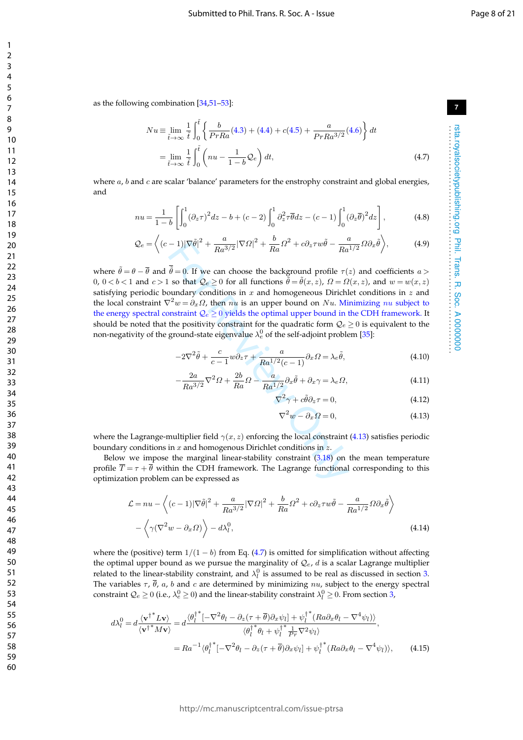as the following combination [34 ,51 –53]:

$$
Nu \equiv \lim_{\tilde{t} \to \infty} \frac{1}{\tilde{t}} \int_0^{\tilde{t}} \left\{ \frac{b}{PrRa}(4.3) + (4.4) + c(4.5) + \frac{a}{PrRa^{3/2}}(4.6) \right\} dt
$$

$$
=\lim_{\tilde{t}\to\infty}\frac{1}{\tilde{t}}\int_0^{\tilde{t}}\left(nu-\frac{1}{1-b}\mathcal{Q}_e\right)dt,\tag{4.7}
$$

where  $a$ ,  $b$  and  $c$  are scalar 'balance' parameters for the enstrophy constraint and global energies, and

$$
nu = \frac{1}{1-b} \left[ \int_0^1 (\partial_z \tau)^2 dz - b + (c-2) \int_0^1 \partial_z^2 \tau \overline{\theta} dz - (c-1) \int_0^1 (\partial_z \overline{\theta})^2 dz \right],
$$
 (4.8)

$$
\mathcal{Q}_e = \left\langle (c-1) |\nabla \tilde{\theta}|^2 + \frac{a}{Ra^{3/2}} |\nabla \Omega|^2 + \frac{b}{Ra} \Omega^2 + c \partial_z \tau w \tilde{\theta} - \frac{a}{Ra^{1/2}} \Omega \partial_x \tilde{\theta} \right\rangle, \tag{4.9}
$$

-1) $|\nabla \theta|^2 + \frac{1}{Ra^3/2} |\nabla \Omega|^2 + \frac{1}{Ra} \Omega^2 + c \partial_z \tau w \theta - \frac{1}{Ra} \overline{\theta} = 0$ . If we can choose the background profile  $\tau$ (so that  $Q_e \ge 0$  for all functions  $\overline{\theta} = \overline{\theta}(x, z)$ ,  $\Omega = \Omega$  sundary conditions in x and homogeneou where  $\tilde{\theta} = \theta - \overline{\theta}$  and  $\tilde{\theta} = 0$ . If we can choose the background profile  $\tau(z)$  and coefficients  $a >$ 0,  $0 < b < 1$  and  $c > 1$  so that  $\mathcal{Q}_e \ge 0$  for all functions  $\tilde{\theta} = \tilde{\theta}(x, z)$ ,  $\Omega = \Omega(x, z)$ , and  $w = w(x, z)$ satisfying periodic boundary conditions in  $x$  and homogeneous Dirichlet conditions in  $z$  and the local constraint  $\nabla^2 w = \partial_x \Omega$ , then  $nu$  is an upper bound on  $Nu$ . Minimizing  $nu$  subject to the energy spectral constraint  $\mathcal{Q}_e \geq 0$  yields the optimal upper bound in the CDH framework. It should be noted that the positivity constraint for the quadratic form  $\mathcal{Q}_e \geq 0$  is equivalent to the non-negativity of the ground-state eigenvalue  $\lambda_e^0$  of the self-adjoint problem [35]:

$$
-2\nabla^2 \tilde{\theta} + \frac{c}{c-1} w \partial_z \tau + \frac{a}{Ra^{1/2}(c-1)} \partial_x \Omega = \lambda_e \tilde{\theta},\tag{4.10}
$$

$$
-\frac{2a}{Ra^{3/2}}\nabla^2\Omega + \frac{2b}{Ra}\Omega - \frac{a}{Ra^{1/2}}\partial_x\tilde{\theta} + \partial_x\gamma = \lambda_e\Omega,
$$
\n(4.11)

$$
\nabla^2 \gamma + c\tilde{\theta}\partial_z \tau = 0,\tag{4.12}
$$

$$
\nabla^2 w - \partial_x \Omega = 0,\tag{4.13}
$$

where the Lagrange-multiplier field  $\gamma(x, z)$  enforcing the local constraint (4.13) satisfies periodic boundary conditions in  $x$  and homogenous Dirichlet conditions in  $z$ .

Below we impose the marginal linear-stability constraint  $(3.18)$  on the mean temperature profile  $T = \tau + \theta$  within the CDH framework. The Lagrange functional corresponding to this optimization problem can be expressed as

$$
\mathcal{L} = nu - \left\langle (c-1)|\nabla \tilde{\theta}|^2 + \frac{a}{Ra^{3/2}}|\nabla \Omega|^2 + \frac{b}{Ra} \Omega^2 + c\partial_z \tau w \tilde{\theta} - \frac{a}{Ra^{1/2}} \Omega \partial_x \tilde{\theta} \right\rangle
$$

$$
- \left\langle \gamma (\nabla^2 w - \partial_x \Omega) \right\rangle - d\lambda_l^0,
$$
(4.14)

where the (positive) term  $1/(1-b)$  from Eq. (4.7) is omitted for simplification without affecting the optimal upper bound as we pursue the marginality of  $\mathcal{Q}_e$ ,  $d$  is a scalar Lagrange multiplier related to the linear-stability constraint, and  $\lambda_l^0$  is assumed to be real as discussed in section 3. The variables  $\tau$ ,  $\theta$ ,  $a$ ,  $b$  and  $c$  are determined by minimizing  $nu$ , subject to the energy spectral constraint  $\mathcal{Q}_e\geq 0$  (i.e.,  $\lambda_e^0\geq 0$ ) and the linear-stability constraint  $\lambda_l^0\geq 0$ . From section 3,

$$
d\lambda_l^0 = d \frac{\langle {\bf v^\dagger}^* L {\bf v} \rangle}{\langle {\bf v^\dagger}^* M {\bf v} \rangle} = d \frac{\langle \theta_l^{\dagger *}[-\nabla^2 \theta_l - \partial_z(\tau + \overline{\theta}) \partial_x \psi_l] + \psi_l^{\dagger *} (Ra \partial_x \theta_l - \nabla^4 \psi_l) \rangle}{\langle \theta_l^{\dagger *} \theta_l + \psi_l^{\dagger *} \frac{1}{Pr} \nabla^2 \psi_l \rangle},
$$
  
=  $R a^{-1} \langle \theta_l^{\dagger *}[-\nabla^2 \theta_l - \partial_z(\tau + \overline{\theta}) \partial_x \psi_l] + \psi_l^{\dagger *} (Ra \partial_x \theta_l - \nabla^4 \psi_l) \rangle,$  (4.15)

123456789

 $\mathbf{1}$  $\overline{2}$  $\overline{3}$  $\overline{4}$ 5 6  $\overline{7}$ 8 9

**7**

rsta.royalsocietypublishing.org Phil. Trans. R. Soc. A 0000000 . . . . . . . . . . . . . . . . . . . . . . . . . . . . . . . . . . . . . . . . . . . . . . . . . . . . . . . . . . . . . . . . . .

rsta.royalsocietypublishing.org Phil. Trans. R. Soc. A 0000000<br>rsta.royalsocietypublishing.org Phil. Trans. R. Soc. A 0000000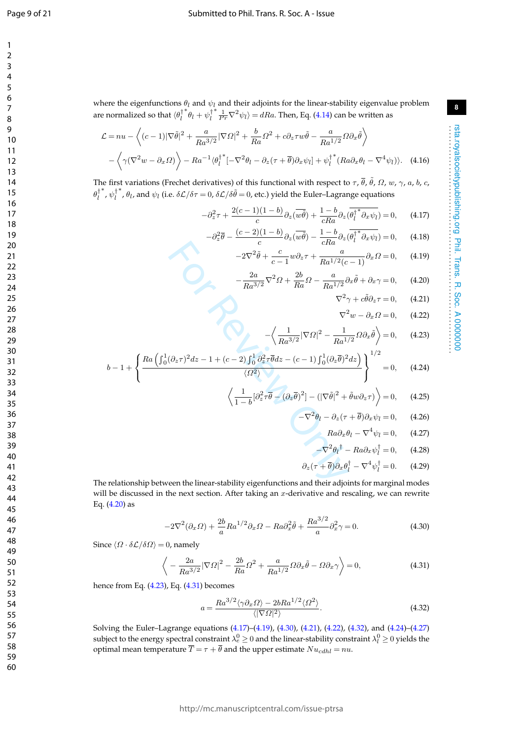$\mathbf{1}$  $\overline{2}$  $\overline{\mathbf{3}}$  $\overline{4}$ 5 6  $\overline{7}$ 8 9

where the eigenfunctions  $\theta_l$  and  $\psi_l$  and their adjoints for the linear-stability eigenvalue problem are normalized so that  $\langle \theta_l^\dagger$ \* $\theta_l + \psi_l^{\dagger}$  $\int_{\overline{P}}^{*} \frac{1}{P_{\overline{P}}} \nabla^2 \psi_l \rangle = dRa$ . Then, Eq. (4.14) can be written as

$$
\mathcal{L} = nu - \left\langle (c-1)|\nabla \tilde{\theta}|^2 + \frac{a}{Ra^{3/2}}|\nabla \Omega|^2 + \frac{b}{Ra} \Omega^2 + c\partial_z \tau w \tilde{\theta} - \frac{a}{Ra^{1/2}} \Omega \partial_x \tilde{\theta} \right\rangle - \left\langle \gamma(\nabla^2 w - \partial_x \Omega) \right\rangle - Ra^{-1} \langle \theta_l^{+*} [-\nabla^2 \theta_l - \partial_z(\tau + \overline{\theta}) \partial_x \psi_l] + \psi_l^{+*} (Ra \partial_x \theta_l - \nabla^4 \psi_l ) \rangle. \tag{4.16}
$$

The first variations (Frechet derivatives) of this functional with respect to  $\tau$ ,  $\bar{\theta}$ ,  $\tilde{\theta}$ ,  $\Omega$ ,  $w$ ,  $\gamma$ ,  $a$ ,  $b$ ,  $c$ ,  $\theta_l^\dagger$ \*,  $\psi_l^{\dagger}$ <sup>\*</sup>,  $\theta_l$ , and  $\psi_l$  (i.e.  $\delta\mathcal{L}/\delta\tau = 0$ ,  $\delta\mathcal{L}/\delta\tilde{\theta} = 0$ , etc.) yield the Euler–Lagrange equations

$$
-\partial_z^2 \tau + \frac{2(c-1)(1-b)}{c} \partial_z(\overline{w\theta}) + \frac{1-b}{cRa} \partial_z(\overline{\theta_l^*} \partial_x \psi_l) = 0, \quad (4.17)
$$

$$
-\partial_z^2 \overline{\theta} - \frac{(c-2)(1-b)}{c} \partial_z(\overline{w\theta}) - \frac{1-b}{cRa} \partial_z(\overline{\theta_l^{\dagger}}^* \partial_x \psi_l) = 0, \quad (4.18)
$$

$$
-2\nabla^2 \tilde{\theta} + \frac{c}{c-1} w \partial_z \tau + \frac{a}{Ra^{1/2}(c-1)} \partial_x \Omega = 0, \qquad (4.19)
$$

$$
-\frac{2a}{Ra^{3/2}}\nabla^2\Omega + \frac{2b}{Ra}\Omega - \frac{a}{Ra^{1/2}}\partial_x\tilde{\theta} + \partial_x\gamma = 0,\qquad(4.20)
$$

$$
\nabla^2 \gamma + c\tilde{\theta}\partial_z \tau = 0, \qquad (4.21)
$$

$$
\nabla^2 w - \partial_x \Omega = 0, \qquad (4.22)
$$

$$
-2\nabla^2 \tilde{\theta} + \frac{c}{c-1} w \partial_z \tau + \frac{a}{Ra^{1/2}(c-1)} \partial_x \Omega = 0, \quad (4.19)
$$

$$
-\frac{2a}{Ra^{3/2}} \nabla^2 \Omega + \frac{2b}{Ra} \Omega - \frac{a}{Ra^{1/2}} \partial_x \tilde{\theta} + \partial_x \gamma = 0, \quad (4.20)
$$

$$
\nabla^2 \gamma + c \tilde{\theta} \partial_z \tau = 0, \quad (4.21)
$$

$$
\nabla^2 w - \partial_x \Omega = 0, \quad (4.22)
$$

$$
-\left\langle \frac{1}{Ra^{3/2}} |\nabla \Omega|^2 - \frac{1}{Ra^{1/2}} \Omega \partial_x \tilde{\theta} \right\rangle = 0, \quad (4.23)
$$

$$
\left\{ \frac{Ra \left( \int_0^1 (\partial_z \tau)^2 dz - 1 + (c-2) \int_0^1 \partial_z^2 \overline{\theta} dz - (c-1) \int_0^1 (\partial_z \overline{\theta})^2 dz \right)}{\langle \Omega^2 \rangle} \right\}^{1/2} = 0, \quad (4.24)
$$

$$
\left\langle \frac{1}{1 - b} [\partial_z^2 \tau \overline{\theta} - (\partial_z \overline{\theta})^2] - (|\nabla \tilde{\theta}|^2 + \tilde{\theta} w \partial_z \tau) \right\rangle = 0, \quad (4.25)
$$

$$
-\nabla^2 \theta_l - \partial_z (\tau + \overline{\theta}) \partial_x \psi_l = 0, \quad (4.26)
$$

$$
Ra \partial_x \theta_l - \nabla^4 \psi_l = 0, \quad (4.27)
$$

$$
-\nabla^2 \theta_l^{\dagger} - Ra \partial_x \psi_l^{\dagger} = 0, \quad (4.28)
$$
ship between the linear-stability eigenfunctions and their adjoints for marginal modes

$$
b-1+\left\{\frac{Ra\left(\int_0^1(\partial_z\tau)^2dz-1+(c-2)\int_0^1\partial_z^2\tau\overline{\theta}dz-(c-1)\int_0^1(\partial_z\overline{\theta})^2dz\right)}{\langle\Omega^2\rangle}\right\}^{1/2}=0,\qquad(4.24)
$$

$$
\left\langle \frac{1}{1-b} [\partial_z^2 \tau \overline{\theta} - (\partial_z \overline{\theta})^2] - (|\nabla \tilde{\theta}|^2 + \tilde{\theta} w \partial_z \tau) \right\rangle = 0, \quad (4.25)
$$

$$
-\nabla^2 \theta_l - \partial_z(\tau + \overline{\theta}) \partial_x \psi_l = 0, \qquad (4.26)
$$

$$
Ra\partial_x\theta_l - \nabla^4\psi_l = 0, \qquad (4.27)
$$

$$
-\nabla^2 \theta_l^{\dagger} - Ra \partial_x \psi_l^{\dagger} = 0, \qquad (4.28)
$$

$$
\partial_z(\tau + \overline{\theta})\partial_x\theta_l^{\dagger} - \nabla^4\psi_l^{\dagger} = 0. \qquad (4.29)
$$

The relationship between the linear-stability eigenfunctions and their adjoints for marginal modes will be discussed in the next section. After taking an x-derivative and rescaling, we can rewrite Eq. (4.20) as

$$
-2\nabla^2(\partial_x \Omega) + \frac{2b}{a}Ra^{1/2}\partial_x \Omega - Ra\partial_x^2 \tilde{\theta} + \frac{Ra^{3/2}}{a}\partial_x^2 \gamma = 0.
$$
 (4.30)

Since  $\langle \varOmega \cdot \delta \mathcal{L} / \delta \varOmega \rangle = 0$ , namely

$$
\left\langle -\frac{2a}{Ra^{3/2}}|\nabla\Omega|^2 - \frac{2b}{Ra}\Omega^2 + \frac{a}{Ra^{1/2}}\Omega\partial_x\tilde{\theta} - \Omega\partial_x\gamma \right\rangle = 0,\tag{4.31}
$$

hence from Eq. (4.23), Eq. (4.31) becomes

$$
a = \frac{Ra^{3/2}\langle \gamma \partial_x \Omega \rangle - 2bRa^{1/2}\langle \Omega^2 \rangle}{\langle |\nabla \Omega|^2 \rangle}.
$$
\n(4.32)

Solving the Euler–Lagrange equations (4.17)–(4.19), (4.30), (4.21), (4.22), (4.32), and (4.24)–(4.27 ) subject to the energy spectral constraint  $\lambda_e^0\geq 0$  and the linear-stability constraint  $\lambda_l^0\geq 0$  yields the optimal mean temperature  $\overline{T} = \tau + \theta$  and the upper estimate  $Nu_{cdhl} = nu$ .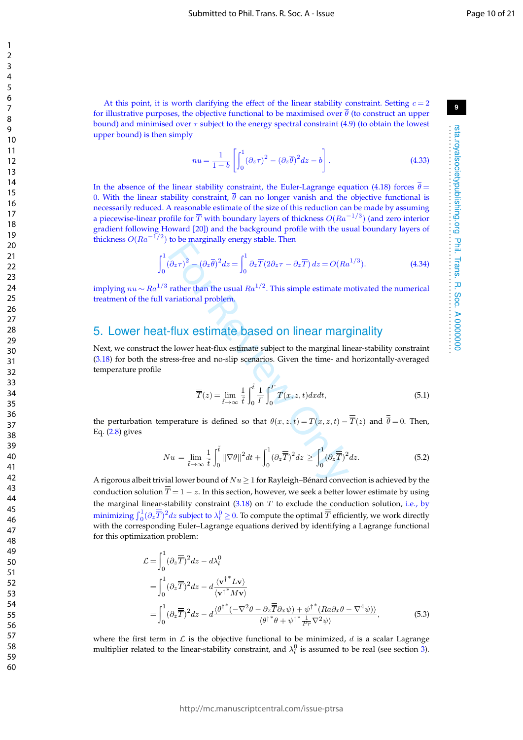At this point, it is worth clarifying the effect of the linear stability constraint. Setting  $c = 2$ for illustrative purposes, the objective functional to be maximised over  $\theta$  (to construct an upper bound) and minimised over  $\tau$  subject to the energy spectral constraint (4.9) (to obtain the lowest upper bound) is then simply

$$
nu = \frac{1}{1-b} \left[ \int_0^1 (\partial_z \tau)^2 - (\partial_z \overline{\theta})^2 dz - b \right].
$$
 (4.33)

In the absence of the linear stability constraint, the Euler-Lagrange equation (4.18) forces  $\theta =$ 0. With the linear stability constraint,  $\theta$  can no longer vanish and the objective functional is necessarily reduced. A reasonable estimate of the size of this reduction can be made by assuming a piecewise-linear profile for  $\overline{T}$  with boundary layers of thickness  $O(Ra^{-1/3})$  (and zero interior gradient following Howard [20]) and the background profile with the usual boundary layers of thickness  $O(Ra^{-1/2})$  to be marginally energy stable. Then

$$
\int_0^1 (\partial_z \tau)^2 - (\partial_z \overline{\theta})^2 dz = \int_0^1 \partial_z \overline{T} (2 \partial_z \tau - \partial_z \overline{T}) dz = O(Ra^{1/3}).
$$
 (4.34)

implying  $nu \sim Ra^{1/3}$  rather than the usual  $Ra^{1/2}$ . This simple estimate motivated the numerical treatment of the full variational problem.

### 5. Lower heat-flux estimate based on linear marginality

 $(\partial_z \tau)^2 - (\partial_z \overline{\theta})^2 dz = \int_0^1 \partial_z \overline{T}(2\partial_z \tau - \partial_z \overline{T}) dz = O(Ra$ <br>
rather than the usual  $Ra^{1/2}$ . This simple estimate m<br>
ratiational problem.<br>
FilUX estimate based on linear marginal lines<br>
e lower heat-flux estimate subject to Next, we construct the lower heat-flux estimate subject to the marginal linear-stability constraint (3.18) for both the stress-free and no-slip scenarios. Given the time- and horizontally-averaged temperature profile

$$
\overline{\overline{T}}(z) = \lim_{\tilde{t} \to \infty} \frac{1}{\tilde{t}} \int_0^{\tilde{t}} \frac{1}{\Gamma} \int_0^{\Gamma} \overline{T(x, z, t)} dx dt,
$$
\n(5.1)

the perturbation temperature is defined so that  $\theta(x, z, t) = T(x, z, t) - T(z)$  and  $\theta = 0$ . Then, Eq.  $(2.8)$  gives

$$
Nu = \lim_{\tilde{t}\to\infty} \frac{1}{\tilde{t}} \int_0^{\tilde{t}} ||\nabla\theta||^2 dt + \int_0^1 (\partial_z \overline{\overline{T}})^2 dz \ge \int_0^1 (\partial_z \overline{\overline{T}})^2 dz.
$$
 (5.2)

A rigorous albeit trivial lower bound of  $Nu\geq 1$  for Rayleigh–Bénard convection is achieved by the conduction solution  $T = 1 - z$ . In this section, however, we seek a better lower estimate by using the marginal linear-stability constraint  $(3.18)$  on T to exclude the conduction solution, i.e., by minimizing  $\int_0^1(\partial_z\overline{\overline{T}})^2dz$  subject to  $\lambda_l^0\geq 0.$  To compute the optimal  $\overline{\overline{T}}$  efficiently, we work directly with the corresponding Euler–Lagrange equations derived by identifying a Lagrange functional for this optimization problem:

$$
\mathcal{L} = \int_0^1 (\partial_z \overline{\overline{T}})^2 dz - d\lambda_l^0
$$
  
= 
$$
\int_0^1 (\partial_z \overline{\overline{T}})^2 dz - d \frac{\langle v^{\dagger *} L v \rangle}{\langle v^{\dagger *} M v \rangle}
$$
  
= 
$$
\int_0^1 (\partial_z \overline{\overline{T}})^2 dz - d \frac{\langle \theta^{\dagger *} (-\nabla^2 \theta - \partial_z \overline{\overline{T}} \partial_x \psi) + \psi^{\dagger *} (Ra \partial_x \theta - \nabla^4 \psi) \rangle}{\langle \theta^{\dagger *} \theta + \psi^{\dagger *} \frac{1}{Pr} \nabla^2 \psi \rangle},
$$
(5.3)

where the first term in  $\mathcal L$  is the objective functional to be minimized, d is a scalar Lagrange multiplier related to the linear-stability constraint, and  $\lambda_l^0$  is assumed to be real (see section 3).

123456789

 $\mathbf{1}$  $\overline{2}$  $\overline{3}$  $\overline{4}$ 5 6  $\overline{7}$ 8  $\mathsf{o}$ 

**9**

rsta.royalsocietypublishing.org Phil. Trans. R. Soc. A 0000000 . . . . . . . . . . . . . . . . . . . . . . . . . . . . . . . . . . . . . . . . . . . . . . . . . . . . . . . . . . . . . . . . . .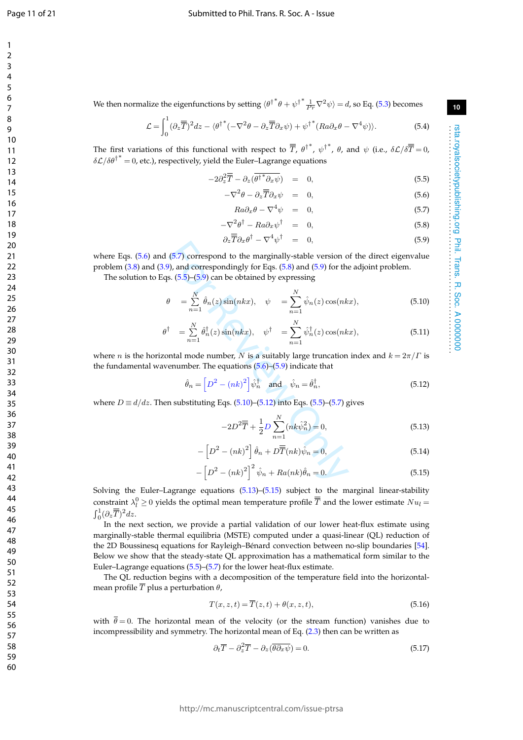$\mathbf{1}$  $\overline{2}$  $\overline{3}$  $\overline{4}$ 5 6  $\overline{7}$ 8 9

rsta.royalsocietypublishing.org Phil. Trans. R. Soc. A 0000000 . . . . . . . . . . . . . . . . . . . . . . . . . . . . . . . . . . . . . . . . . . . . . . . . . . . . . . . . . . . . . . . . . .

rsta.royalsocietypublishing.org Phil. Trans. R. Soc. A 00000000

We then normalize the eigenfunctions by setting  $\braket{\theta^\dagger}^* \theta + \psi^\dagger^\ast \frac{1}{Pr} \nabla^2 \psi = d$ , so Eq. (5.3) becomes

$$
\mathcal{L} = \int_0^1 (\partial_z \overline{\overline{T}})^2 dz - \langle \theta^{\dagger}^* (-\nabla^2 \theta - \partial_z \overline{\overline{T}} \partial_x \psi) + \psi^{\dagger}^* (Ra \partial_x \theta - \nabla^4 \psi) \rangle.
$$
 (5.4)

The first variations of this functional with respect to  $\overline{ \overline{T} }$ ,  ${\theta^{\dagger}}^*$ ,  ${\psi^{\dagger}}^*$ ,  $\theta$ , and  $\psi$  (i.e.,  $\delta{\cal L}/\delta\overline{\overline{T}}=0$ ,  $\delta\mathcal{L}/\delta{\theta^{\dagger}}^* = 0$ , etc.), respectively, yield the Euler–Lagrange equations

$$
-2\partial_z^2 \overline{\overline{T}} - \partial_z(\overline{\theta^*}^* \partial_x \overline{\psi}) = 0, \qquad (5.5)
$$

$$
-\nabla^2 \theta - \partial_z \overline{\overline{T}} \partial_x \psi = 0, \qquad (5.6)
$$

$$
Ra\partial_x\theta - \nabla^4\psi = 0, \qquad (5.7)
$$

$$
-\nabla^2 \theta^\dagger - Ra \partial_x \psi^\dagger = 0, \qquad (5.8)
$$

$$
\partial_z \overline{\overline{T}} \partial_x \theta^{\dagger} - \nabla^4 \psi^{\dagger} = 0, \qquad (5.9)
$$

where Eqs.  $(5.6)$  and  $(5.7)$  correspond to the marginally-stable version of the direct eigenvalue problem (3.8) and (3.9), and correspondingly for Eqs. (5.8) and (5.9) for the adjoint problem.

The solution to Eqs.  $(5.5)$ – $(5.9)$  can be obtained by expressing

$$
\theta = \sum_{n=1}^{N} \hat{\theta}_n(z) \sin(nkx), \quad \psi = \sum_{n=1}^{N} \hat{\psi}_n(z) \cos(nkx), \tag{5.10}
$$

$$
\partial_z f \partial_x \psi = 0,
$$
\n
$$
\partial_y f = 0,
$$
\n
$$
\partial_z f \partial_x \psi = 0,
$$
\n
$$
\partial_z f \partial_y \psi = 0,
$$
\n
$$
\partial_z f \partial_y \psi = 0,
$$
\n
$$
\partial_z f \partial_y \psi = 0,
$$
\n
$$
\partial_z f \partial_y \psi = 0,
$$
\n
$$
\partial_z f \partial_y \psi = 0,
$$
\n
$$
\partial_z f \partial_y \psi = 0,
$$
\n
$$
\partial_z f \partial_y \psi = 0,
$$
\n
$$
\partial_z f \partial_y \psi = 0,
$$
\n
$$
\partial_z f \partial_y \psi = 0,
$$
\n
$$
\partial_z f \partial_y \psi = 0,
$$
\n
$$
\partial_z f \partial_y \psi = 0,
$$
\n
$$
\partial_z f \partial_y \psi = 0,
$$
\n
$$
\partial_z f \partial_y \psi = 0,
$$
\n
$$
\partial_z f \partial_y \psi = 0,
$$
\n
$$
\partial_z f \partial_y \psi = 0,
$$
\n
$$
\partial_z f \partial_y \psi = 0,
$$
\n
$$
\partial_z f \partial_y \psi = 0,
$$
\n
$$
\partial_z f \partial_y \psi = 0,
$$
\n
$$
\partial_z f \partial_y \psi = 0,
$$
\n
$$
\partial_z f \partial_y \psi = 0,
$$
\n
$$
\partial_z f \partial_y \psi = 0,
$$
\n
$$
\partial_z f \partial_y \psi = 0,
$$
\n
$$
\partial_z f \partial_y \psi = 0,
$$
\n
$$
\partial_z f \partial_y \psi = 0,
$$
\n
$$
\partial_z f \partial_y \psi = 0,
$$
\n
$$
\partial_z f \partial_y \psi = 0,
$$
\n
$$
\partial_z f \partial_y \psi = 0,
$$
\n
$$
\partial_z f \partial_y \psi = 0,
$$
\n
$$
\partial_z f \partial_y \psi = 0,
$$
\n
$$
\partial_z f \partial_y \psi = 0,
$$
\n
$$
\partial_z f \partial_y \psi = 0,
$$
\n
$$
\partial_z f \partial_y \psi = 0,
$$
\n
$$
\partial_z f \partial_y \psi = 0,
$$
\n
$$
\partial_z f \partial_y \psi
$$

where *n* is the horizontal mode number, N is a suitably large truncation index and  $k = 2\pi/\Gamma$  is the fundamental wavenumber. The equations (5.6)–(5.9) indicate that

$$
\hat{\theta}_n = \left[D^2 - (nk)^2\right] \hat{\psi}_n^{\dagger} \quad \text{and} \quad \hat{\psi}_n = \hat{\theta}_n^{\dagger},\tag{5.12}
$$

where  $D \equiv d/dz$ . Then substituting Eqs. (5.10)–(5.12) into Eqs. (5.5)–(5.7) gives

$$
-2D^2\overline{\overline{T}} + \frac{1}{2}D\sum_{n=1}^{N}(nk\hat{\psi}_n^2) = 0,
$$
\n(5.13)

$$
-\left[D^2 - (nk)^2\right]\hat{\theta}_n + D\overline{\overline{T}}(nk)\hat{\psi}_n = 0,
$$
\n(5.14)

$$
-\left[D^2 - (nk)^2\right]^2 \hat{\psi}_n + Ra(nk)\hat{\theta}_n = 0.
$$
\n(5.15)

Solving the Euler–Lagrange equations (5.13)–(5.15) subject to the marginal linear-stability constraint  $\lambda_l^0\geq$  0 yields the optimal mean temperature profile  $\overline{\overline{T}}$  and the lower estimate  $Nu_l$  =  $\int_0^1 (\partial_z \overline{\overline{T}})^2 dz.$ 

In the next section, we provide a partial validation of our lower heat-flux estimate using marginally-stable thermal equilibria (MSTE) computed under a quasi-linear (QL) reduction of the 2D Boussinesq equations for Rayleigh–Bénard convection between no-slip boundaries [54]. Below we show that the steady-state QL approximation has a mathematical form similar to the Euler–Lagrange equations (5.5)–(5.7) for the lower heat-flux estimate.

The QL reduction begins with a decomposition of the temperature field into the horizontalmean profile  $\overline{T}$  plus a perturbation  $\theta$ ,

$$
T(x, z, t) = \overline{T}(z, t) + \theta(x, z, t),
$$
\n(5.16)

with  $\theta = 0$ . The horizontal mean of the velocity (or the stream function) vanishes due to incompressibility and symmetry. The horizontal mean of Eq. (2.3) then can be written as

$$
\partial_t \overline{T} - \partial_z^2 \overline{T} - \partial_z (\overline{\theta} \partial_x \overline{\psi}) = 0. \tag{5.17}
$$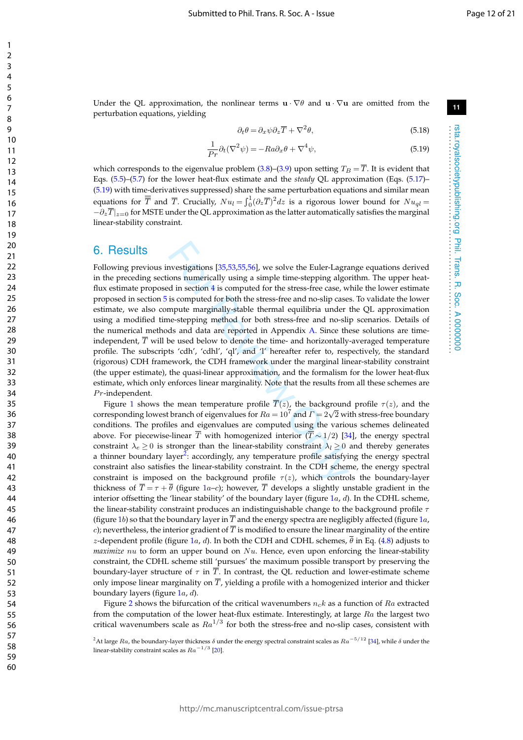rsta.royalsocietypublishing.org Phil. Trans. R. Soc. A 0000000 . . . . . . . . . . . . . . . . . . . . . . . . . . . . . . . . . . . . . . . . . . . . . . . . . . . . . . . . . . . . . . . . . .

rsta.royalsocietypublishing.org Phil. Trans. R. Soc. A 0000000

Under the QL approximation, the nonlinear terms  $\mathbf{u} \cdot \nabla \theta$  and  $\mathbf{u} \cdot \nabla \mathbf{u}$  are omitted from the perturbation equations, yielding

$$
\partial_t \theta = \partial_x \psi \partial_z \overline{T} + \nabla^2 \theta,\tag{5.18}
$$

$$
\frac{1}{Pr}\partial_t(\nabla^2\psi) = -Ra\partial_x\theta + \nabla^4\psi,\tag{5.19}
$$

which corresponds to the eigenvalue problem  $(3.8)$ – $(3.9)$  upon setting  $T_B = T$ . It is evident that Eqs. (5.5)–(5.7) for the lower heat-flux estimate and the *steady* QL approximation (Eqs. (5.17)– (5.19) with time-derivatives suppressed) share the same perturbation equations and similar mean equations for  $\overline{\overline{T}}$  and  $\overline{T}$ . Crucially,  $Nu_l = \int_0^1 (\partial_z \overline{T})^2 dz$  is a rigorous lower bound for  $Nu_{ql} =$  $-\partial_z T|_{z=0}$  for MSTE under the QL approximation as the latter automatically satisfies the marginal linear-stability constraint.

### 6. Results

ably ably and significally constraint In the CDH schementially and  $\tilde{q}$  (for the computed  $\tilde{q}$  (for the stress-free case, we is computed for both the stress-free and no-slip case mpute marginally-stable thermal eq Following previous investigations [35,53,55,56], we solve the Euler-Lagrange equations derived in the preceding sections numerically using a simple time-stepping algorithm. The upper heatflux estimate proposed in section 4 is computed for the stress-free case, while the lower estimate proposed in section 5 is computed for both the stress-free and no-slip cases. To validate the lower estimate, we also compute marginally-stable thermal equilibria under the QL approximation using a modified time-stepping method for both stress-free and no-slip scenarios. Details of the numerical methods and data are reported in Appendix A. Since these solutions are timeindependent,  $\overline{T}$  will be used below to denote the time- and horizontally-averaged temperature profile. The subscripts 'cdh', 'cdhl', 'ql', and 'l' hereafter refer to, respectively, the standard (rigorous) CDH framework, the CDH framework under the marginal linear-stability constraint (the upper estimate), the quasi-linear approximation, and the formalism for the lower heat-flux estimate, which only enforces linear marginality. Note that the results from all these schemes are  $Pr$ -independent.

Figure 1 shows the mean temperature profile  $T(z)$ , the background profile  $\tau(z)$ , and the corresponding lowest branch of eigenvalues for  $Ra = 10^7$  and  $\Gamma = 2\sqrt{2}$  with stress-free boundary conditions. The profiles and eigenvalues are computed using the various schemes delineated above. For piecewise-linear  $\overline{T}$  with homogenized interior  $(\overline{T} \sim 1/2)$  [34], the energy spectral constraint  $\lambda_e \geq 0$  is stronger than the linear-stability constraint  $\lambda_l \geq 0$  and thereby generates a thinner boundary layer<sup>2</sup>: accordingly, any temperature profile satisfying the energy spectral constraint also satisfies the linear-stability constraint. In the CDH scheme, the energy spectral constraint is imposed on the background profile  $\tau(z)$ , which controls the boundary-layer thickness of  $T = \tau + \theta$  (figure 1a-c); however, T develops a slightly unstable gradient in the interior offsetting the 'linear stability' of the boundary layer (figure  $1a$ , d). In the CDHL scheme, the linear-stability constraint produces an indistinguishable change to the background profile  $\tau$ (figure  $1b$ ) so that the boundary layer in  $T$  and the energy spectra are negligibly affected (figure  $1a$ , c); nevertheless, the interior gradient of  $T$  is modified to ensure the linear marginality of the entire z-dependent profile (figure 1*a, d*). In both the CDH and CDHL schemes,  $\theta$  in Eq. (4.8) adjusts to *maximize* nu to form an upper bound on Nu. Hence, even upon enforcing the linear-stability constraint, the CDHL scheme still 'pursues' the maximum possible transport by preserving the boundary-layer structure of  $\tau$  in  $T.$  In contrast, the QL reduction and lower-estimate scheme only impose linear marginality on T, yielding a profile with a homogenized interior and thicker boundary layers (figure 1a, d).

Figure 2 shows the bifurcation of the critical wavenumbers  $n_c k$  as a function of  $Ra$  extracted from the computation of the lower heat-flux estimate. Interestingly, at large  $Ra$  the largest two critical wavenumbers scale as  $Ra^{1/3}$  for both the stress-free and no-slip cases, consistent with

 $^2$ At large  $Ra$ , the boundary-layer thickness  $\delta$  under the energy spectral constraint scales as  $Ra^{-5/12}$  [34], while  $\delta$  under the linear-stability constraint scales as  $Ra^{-1/3}$  [20].

123456789

 $\mathbf{1}$  $\overline{2}$  $\overline{3}$  $\overline{4}$ 5 6  $\overline{7}$ 8 9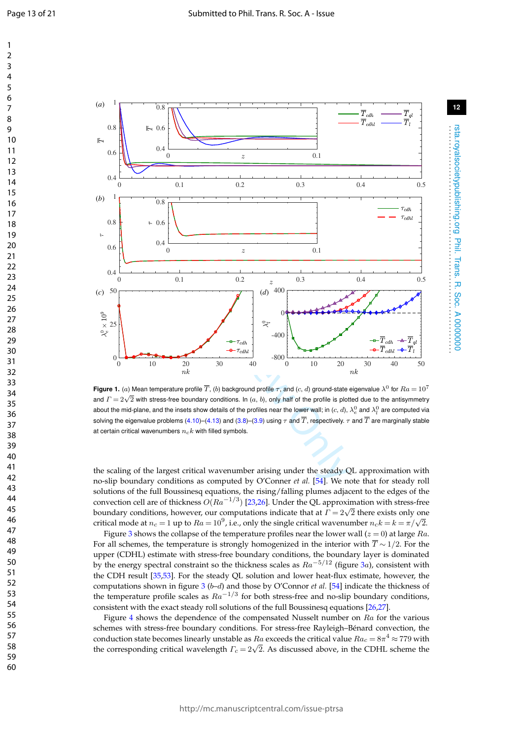rsta.royalsocietypublishing.org Phil. Trans. R. Soc. A 0000000 . . . . . . . . . . . . . . . . . . . . . . . . . . . . . . . . . . . . . . . . . . . . . . . . . . . . . . . . . . . . . . . . . .

rsta.royalsocietypublishing.org Phil. Trans. R. Soc. A 0000000

60



Figure 1. (a) Mean temperature profile  $\overline{T}$ , (b) background profile  $\tau$ , and (c, d) ground-state eigenvalue  $\lambda^0$  for  $Ra=10^7$ and  $\Gamma = 2\sqrt{2}$  with stress-free boundary conditions. In  $(a, b)$ , only half of the profile is plotted due to the antisymmetry and  $\Gamma = 2\sqrt{2}$  with stress-free boundary conditions. In  $(a, b)$ , only half of the profile is p about the mid-plane, and the insets show details of the profiles near the lower wall; in  $(c,d),$   $\lambda_e^0$  and  $\lambda_l^0$  are computed via solving the eigenvalue problems (4.10)–(4.13) and (3.8)–(3.9) using  $\tau$  and  $T$ , respectively.  $\tau$  and  $T$  are marginally stable at certain critical wavenumbers  $n_c k$  with filled symbols.

the scaling of the largest critical wavenumber arising under the steady QL approximation with no-slip boundary conditions as computed by O'Conner *et al.* [54]. We note that for steady roll solutions of the full Boussinesq equations, the rising/falling plumes adjacent to the edges of the convection cell are of thickness  $O(Ra^{-1/3})$  [23,26]. Under the QL approximation with stress-free boundary conditions, however, our computations indicate that at  $\Gamma = 2\sqrt{2}$  there exists only one critical mode at  $n_c = 1$  up to  $Ra = 10^9$ , i.e., only the single critical wavenumber  $n_c k = k = \pi/\sqrt{2}$ .

Figure 3 shows the collapse of the temperature profiles near the lower wall ( $z=0$ ) at large  $Ra$ . For all schemes, the temperature is strongly homogenized in the interior with  $\overline{T} \sim 1/2$ . For the upper (CDHL) estimate with stress-free boundary conditions, the boundary layer is dominated by the energy spectral constraint so the thickness scales as  $Ra^{-5/12}$  (figure 3a), consistent with the CDH result [35 ,53]. For the steady QL solution and lower heat-flux estimate, however, the computations shown in figure 3 (*b-d*) and those by O'Connor *et al.* [54] indicate the thickness of the temperature profile scales as  $Ra^{-1/3}$  for both stress-free and no-slip boundary conditions, consistent with the exact steady roll solutions of the full Boussinesq equations [26 ,27].

Figure 4 shows the dependence of the compensated Nusselt number on  $Ra$  for the various schemes with stress-free boundary conditions. For stress-free Rayleigh–Bénard convection, the conduction state becomes linearly unstable as  $Ra$  exceeds the critical value  $Ra_c = 8\pi^4 \approx 779$  with the corresponding critical wavelength  $\Gamma_c = 2\sqrt{2}$ . As discussed above, in the CDHL scheme the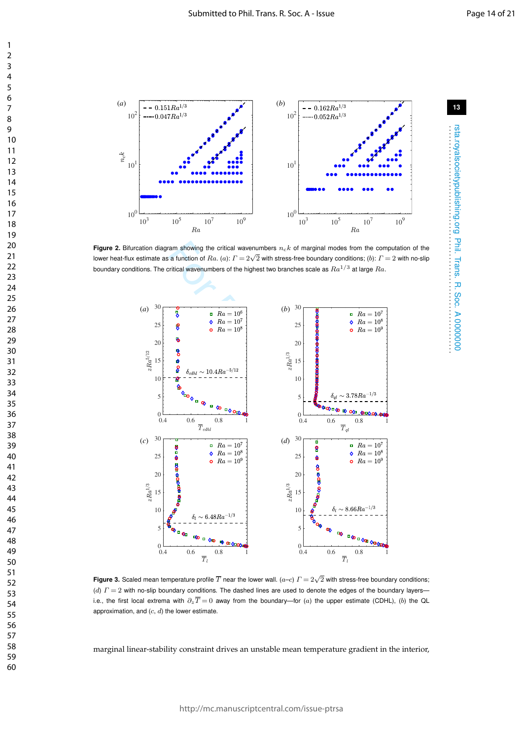rsta.royalsocietypublishing.org Phil. Trans. R. Soc. A 0000000 . . . . . . . . . . . . . . . . . . . . . . . . . . . . . . . . . . . . . . . . . . . . . . . . . . . . . . . . . . . . . . . . . .

rsta.royalsocietypublishing.org Phil. Trans. R. Soc. A 0000000<br>rsta.royalsocietypublishing.org Phil. Trans. R. Soc. A 0000000



**Figure 2.** Bifurcation diagram showing the critical wavenumbers  $n_c k$  of marginal modes from the computation of the lower heat-flux estimate as a function of  $Ra$ . (a):  $\Gamma = 2\sqrt{2}$  with stress-free boundary conditions; (b):  $\Gamma = 2$  with no-slip boundary conditions. The critical wavenumbers of the highest two branches scale as  $Ra^{1/3}$  at large  $Ra$ .



**Figure 3.** Scaled mean temperature profile  $\overline{T}$  near the lower wall. ( $a$ – $c$ )  $\varGamma=2\sqrt{2}$  with stress-free boundary conditions; (d)  $\Gamma = 2$  with no-slip boundary conditions. The dashed lines are used to denote the edges of the boundary layers i.e., the first local extrema with  $\partial_z\overline{T}=0$  away from the boundary—for (a) the upper estimate (CDHL), (b) the QL approximation, and  $(c, d)$  the lower estimate.

marginal linear-stability constraint drives an unstable mean temperature gradient in the interior,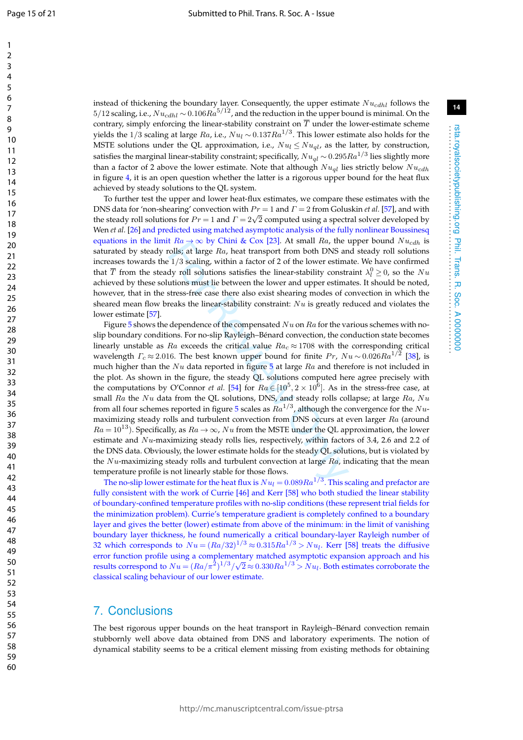$\mathbf{1}$ 

60

instead of thickening the boundary layer. Consequently, the upper estimate  $Nu_{cdhl}$  follows the  $5/12$  scaling, i.e.,  $Nu_{cdhl} \sim 0.106Ra^{5/12}$ , and the reduction in the upper bound is minimal. On the contrary, simply enforcing the linear-stability constraint on  $T$  under the lower-estimate scheme yields the  $1/3$  scaling at large  ${\it Ra}$ , i.e.,  ${\it Nu}_l \sim 0.137 {\it Ra}^{1/3}.$  This lower estimate also holds for the MSTE solutions under the QL approximation, i.e.,  $Nu_l \le Nu_{ql}$ , as the latter, by construction, satisfies the marginal linear-stability constraint; specifically,  $Nu_{ql}$   $\sim$   $0.295Ra^{1/3}$  lies slightly more than a factor of 2 above the lower estimate. Note that although  $Nu_{\text{ol}}$  lies strictly below  $Nu_{\text{cdh}}$ in figure 4, it is an open question whether the latter is a rigorous upper bound for the heat flux achieved by steady solutions to the QL system.

To further test the upper and lower heat-flux estimates, we compare these estimates with the DNS data for 'non-shearing' convection with  $Pr = 1$  and  $\Gamma = 2$  from Goluskin *et al.* [57], and with the steady roll solutions for  $Pr = 1$  and  $\Gamma = 2\sqrt{2}$  computed using a spectral solver developed by Wen *et al*. [26] and predicted using matched asymptotic analysis of the fully nonlinear Boussinesq equations in the limit  $Ra \rightarrow \infty$  by Chini & Cox [23]. At small Ra, the upper bound  $Nu_{cdh}$  is saturated by steady rolls; at large  $Ra$ , heat transport from both DNS and steady roll solutions increases towards the 1 / 3 scaling, within a factor of 2 of the lower estimate. We have confirmed that  $\overline{T}$  from the steady roll solutions satisfies the linear-stability constraint  $\lambda_l^0 \geq 0$ , so the  $Nu$ achieved by these solutions must lie between the lower and upper estimates. It should be noted, however, that in the stress-free case there also exist shearing modes of convection in which the sheared mean flow breaks the linear-stability constraint:  $Nu$  is greatly reduced and violates the lower estimate [57].

t  $na \rightarrow \infty$  by Cmm & Cox [25]. At small *riat*, the volls; at large *Ra*, heat transport from both DNS an 1/3 scaling, within a factor of 2 of the lower estimated by roll solutions satisfies the linear-stability construtio Figure 5 shows the dependence of the compensated  $Nu$  on  $Ra$  for the various schemes with noslip boundary conditions. For no-slip Rayleigh–Bénard convection, the conduction state becomes linearly unstable as  $Ra$  exceeds the critical value  $Ra_c \approx 1708$  with the corresponding critical wavelength  $\Gamma_c \approx 2.016$ . The best known upper bound for finite  $Pr$ ,  $Nu \sim 0.026 Ra^{1/2}$  [38], is much higher than the  $Nu$  data reported in figure 5 at large  $Ra$  and therefore is not included in the plot. As shown in the figure, the steady QL solutions computed here agree precisely with the computations by O'Connor *et al.* [54] for  $Ra \in [10^5, 2 \times 10^6]$ . As in the stress-free case, at small  $Ra$  the  $Nu$  data from the QL solutions, DNS, and steady rolls collapse; at large  $Ra$ ,  $Nu$ from all four schemes reported in figure 5 scales as  $Ra^{1/3}$ , although the convergence for the  $Nu$ maximizing steady rolls and turbulent convection from DNS occurs at even larger Ra (around  $Ra = 10^{13}$ ). Specifically, as  $Ra \rightarrow \infty$ ,  $Nu$  from the MSTE under the QL approximation, the lower estimate and Nu-maximizing steady rolls lies, respectively, within factors of 3.4, 2.6 and 2.2 of the DNS data. Obviously, the lower estimate holds for the steady QL solutions, but is violated by the Nu-maximizing steady rolls and turbulent convection at large  $Ra$ , indicating that the mean temperature profile is not linearly stable for those flows.

The no-slip lower estimate for the heat flux is  $Nu_l$   $=$   $0.089Ra^{1/3}$  . This scaling and prefactor are fully consistent with the work of Currie [46] and Kerr [58] who both studied the linear stability of boundary-confined temperature profiles with no-slip conditions (these represent trial fields for the minimization problem). Currie's temperature gradient is completely confined to a boundary layer and gives the better (lower) estimate from above of the minimum: in the limit of vanishing boundary layer thickness, he found numerically a critical boundary-layer Rayleigh number of 32 which corresponds to  $Nu = (Ra/32)^{1/3} \approx 0.315 Ra^{1/3} > Nu_l$ . Kerr [58] treats the diffusive error function profile using a complementary matched asymptotic expansion approach and his results correspond to  $Nu = (Ra/\pi^2)^{1/3}/\sqrt{2} \approx 0.330 Ra^{1/3} > Nu_l$ . Both estimates corroborate the classical scaling behaviour of our lower estimate.

### 7. Conclusions

The best rigorous upper bounds on the heat transport in Rayleigh–Bénard convection remain stubbornly well above data obtained from DNS and laboratory experiments. The notion of dynamical stability seems to be a critical element missing from existing methods for obtaining

rsta.royalsocietypublishing.org Phil. Trans. R. Soc. A 0000000 . . . . . . . . . . . . . . . . . . . . . . . . . . . . . . . . . . . . . . . . . . . . . . . . . . . . . . . . . . . . . . . . . .

rsta.royalsocietypublishing.org Phil. Trans. R. Soc. A 0000000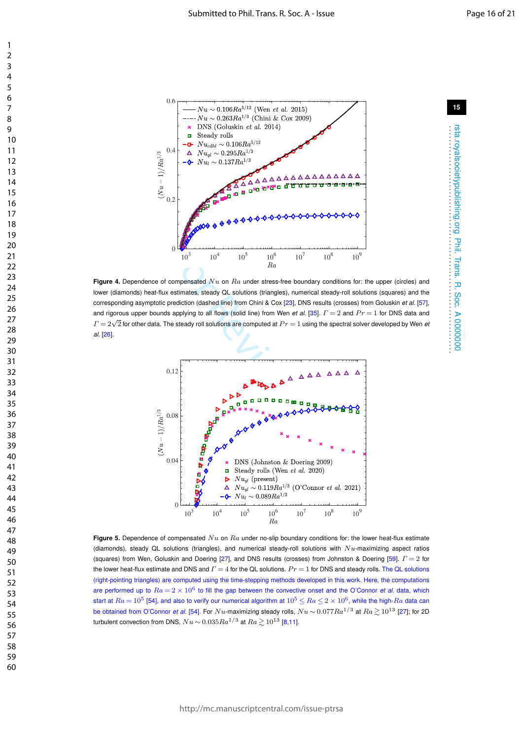

Figure 4. Dependence of compensated Nu on Ra under stress-free boundary conditions for: the upper (circles) and lower (diamonds) heat-flux estimates, steady QL solutions (triangles), numerical steady-roll solutions (squares) and the corresponding asymptotic prediction (dashed line) from Chini & Cox [23], DNS results (crosses) from Goluskin *et al.* [57], and rigorous upper bounds applying to all flows (solid line) from Wen *et al.* [35].  $\Gamma = 2$  and  $Pr = 1$  for DNS data and  $\Gamma = 2\sqrt{2}$  for other data. The steady roll solutions are computed at  $Pr = 1$  using the spectral solver developed by Wen *et*<br> $\Gamma = 2\sqrt{2}$  for other data. The steady roll solutions are computed at  $Pr = 1$  using the spectra *al.* [26].



**Figure 5.** Dependence of compensated  $Nu$  on  $Ra$  under no-slip boundary conditions for: the lower heat-flux estimate (diamonds), steady QL solutions (triangles), and numerical steady-roll solutions with  $Nu$ -maximizing aspect ratios (squares) from Wen, Goluskin and Doering [27], and DNS results (crosses) from Johnston & Doering [59].  $\Gamma=2$  for the lower heat-flux estimate and DNS and  $\Gamma = 4$  for the QL solutions.  $Pr = 1$  for DNS and steady rolls. The QL solutions (right-pointing triangles) are computed using the time-stepping methods developed in this work. Here, the computations are performed up to  $Ra = 2 \times 10^6$  to fill the gap between the convective onset and the O'Connor *et al.* data, which start at  $Ra=10^5$  [54], and also to verify our numerical algorithm at  $10^5\leq Ra\leq 2\times 10^6,$  while the high- $Ra$  data can be obtained from O'Connor *et al.* [54]. For Nu-maximizing steady rolls,  $Nu \sim 0.077 Ra^{1/3}$  at  $Ra \gtrsim 10^{13}$  [27]; for 2D turbulent convection from DNS,  $Nu \sim 0.035 Ra^{1/3}$  at  $Ra \ge 10^{13}$  [8,11].

rsta.royalsocietypublishing.org Phil. Trans. R. Soc. A 0000000 . . . . . . . . . . . . . . . . . . . . . . . . . . . . . . . . . . . . . . . . . . . . . . . . . . . . . . . . . . . . . . . . . .

Phil. Trans. R. Soc. A 0000000

rsta.royalsocietypublishing.org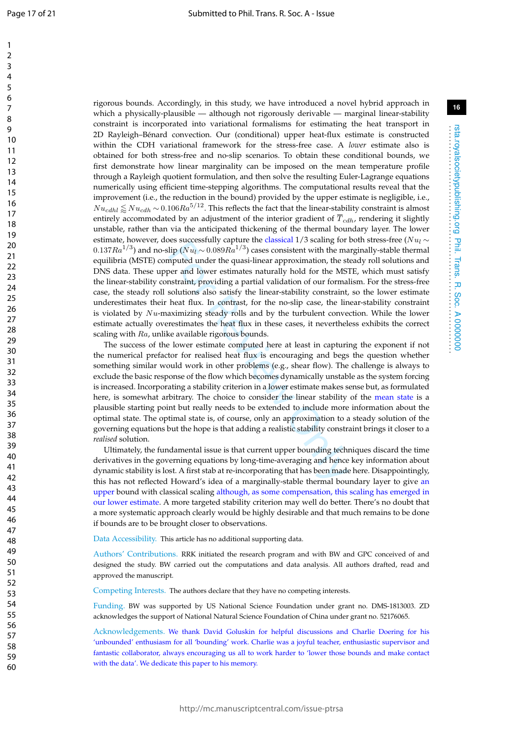rigorous bounds. Accordingly, in this study, we have introduced a novel hybrid approach in which a physically-plausible — although not rigorously derivable — marginal linear-stability constraint is incorporated into variational formalisms for estimating the heat transport in 2D Rayleigh–Bénard convection. Our (conditional) upper heat-flux estimate is constructed within the CDH variational framework for the stress-free case. A *lower* estimate also is obtained for both stress-free and no-slip scenarios. To obtain these conditional bounds, we first demonstrate how linear marginality can be imposed on the mean temperature profile through a Rayleigh quotient formulation, and then solve the resulting Euler-Lagrange equations numerically using efficient time-stepping algorithms. The computational results reveal that the improvement (i.e., the reduction in the bound) provided by the upper estimate is negligible, i.e.,  $Nu_{cdhl} \lessapprox Nu_{cdh} \sim$  0.106 $Ra^{5/12}$ . This reflects the fact that the linear-stability constraint is almost entirely accommodated by an adjustment of the interior gradient of  $T_{cdh}$ , rendering it slightly unstable, rather than via the anticipated thickening of the thermal boundary layer. The lower estimate, however, does successfully capture the classical 1/3 scaling for both stress-free (N $u_l$   $\sim$  $0.137Ra^{1/3})$  and no-slip ( $Nu_l\sim 0.089Ra^{1/3})$  cases consistent with the marginally-stable thermal equilibria (MSTE) computed under the quasi-linear approximation, the steady roll solutions and DNS data. These upper and lower estimates naturally hold for the MSTE, which must satisfy the linear-stability constraint, providing a partial validation of our formalism. For the stress-free case, the steady roll solutions also satisfy the linear-stability constraint, so the lower estimate underestimates their heat flux. In contrast, for the no-slip case, the linear-stability constraint is violated by  $Nu$ -maximizing steady rolls and by the turbulent convection. While the lower estimate actually overestimates the heat flux in these cases, it nevertheless exhibits the correct scaling with Ra, unlike available rigorous bounds.

Exertionly protate the classical  $\gamma$ /Seaming for<br>lip ( $Nu<sub>l</sub> \sim 0.089Ra<sup>1/3</sup>$ ) cases consistent with the mapputed under the quasi-linear approximation, the steer and lower estimates naturally hold for the MS<br>nstrain The success of the lower estimate computed here at least in capturing the exponent if not the numerical prefactor for realised heat flux is encouraging and begs the question whether something similar would work in other problems (e.g., shear flow). The challenge is always to exclude the basic response of the flow which becomes dynamically unstable as the system forcing is increased. Incorporating a stability criterion in a lower estimate makes sense but, as formulated here, is somewhat arbitrary. The choice to consider the linear stability of the mean state is a plausible starting point but really needs to be extended to include more information about the optimal state. The optimal state is, of course, only an approximation to a steady solution of the governing equations but the hope is that adding a realistic stability constraint brings it closer to a *realised* solution.

Ultimately, the fundamental issue is that current upper bounding techniques discard the time derivatives in the governing equations by long-time-averaging and hence key information about dynamic stability is lost. A first stab at re-incorporating that has been made here. Disappointingly, this has not reflected Howard's idea of a marginally-stable thermal boundary layer to give an upper bound with classical scaling although, as some compensation, this scaling has emerged in our lower estimate. A more targeted stability criterion may well do better. There's no doubt that a more systematic approach clearly would be highly desirable and that much remains to be done if bounds are to be brought closer to observations.

Data Accessibility. This article has no additional supporting data.

Authors' Contributions. RRK initiated the research program and with BW and GPC conceived of and designed the study. BW carried out the computations and data analysis. All authors drafted, read and approved the manuscript.

Competing Interests. The authors declare that they have no competing interests.

Funding. BW was supported by US National Science Foundation under grant no. DMS-1813003. ZD acknowledges the support of National Natural Science Foundation of China under grant no. 52176065.

Acknowledgements. We thank David Goluskin for helpful discussions and Charlie Doering for his 'unbounded' enthusiasm for all 'bounding' work. Charlie was a joyful teacher, enthusiastic supervisor and fantastic collaborator, always encouraging us all to work harder to 'lower those bounds and make contact with the data'. We dedicate this paper to his memory.

rsta.royalsocietypublishing.org Phil. Trans. R. Soc. A 0000000 . . . . . . . . . . . . . . . . . . . . . . . . . . . . . . . . . . . . . . . . . . . . . . . . . . . . . . . . . . . . . . . . . .

Phil. Trans. R. Soc. A 0000000

rsta.royalsocietypublishing.org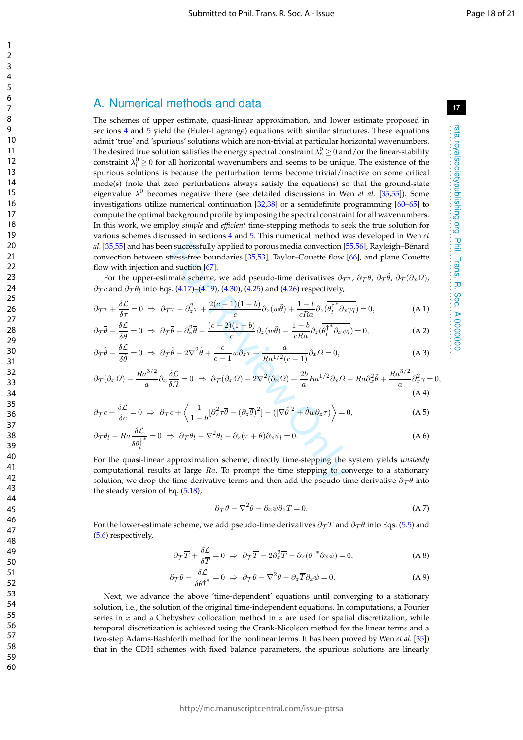### A. Numerical methods and data

The schemes of upper estimate, quasi-linear approximation, and lower estimate proposed in sections 4 and 5 yield the (Euler-Lagrange) equations with similar structures. These equations admit 'true' and 'spurious' solutions which are non-trivial at particular horizontal wavenumbers. The desired true solution satisfies the energy spectral constraint  $\lambda_e^0$   $\geq$  0 and/or the linear-stability constraint  $\lambda_l^0 \geq 0$  for all horizontal wavenumbers and seems to be unique. The existence of the spurious solutions is because the perturbation terms become trivial/inactive on some critical mode(s) (note that zero perturbations always satisfy the equations) so that the ground-state eigenvalue  $\lambda^0$  becomes negative there (see detailed discussions in Wen *et al.* [35,55]). Some investigations utilize numerical continuation  $[32,38]$  or a semidefinite programming  $[60-65]$  to compute the optimal background profile by imposing the spectral constraint for all wavenumbers. In this work, we employ *simple* and *efficient* time-stepping methods to seek the true solution for various schemes discussed in sections 4 and 5. This numerical method was developed in Wen *et al.* [35,55] and has been successfully applied to porous media convection [55,56], Rayleigh–Bénard convection between stress-free boundaries [35,53], Taylor–Couette flow [66], and plane Couette flow with injection and suction [67].

For the upper-estimate scheme, we add pseudo-time derivatives  $\partial_{\cal T} \tau$ ,  $\partial_{\cal T} \bar{\theta}$ ,  $\partial_{\cal T} (\partial_x \Omega)$ ,  $\partial_{\mathcal{T}} c$  and  $\partial_{\mathcal{T}} \theta_l$  into Eqs. (4.17)–(4.19), (4.30), (4.25) and (4.26) respectively,

$$
\partial_{\mathcal{T}} \tau + \frac{\delta \mathcal{L}}{\delta \tau} = 0 \implies \partial_{\mathcal{T}} \tau - \partial_z^2 \tau + \frac{2(c-1)(1-b)}{c} \partial_z(\overline{w\tilde{\theta}}) + \frac{1-b}{cRa} \partial_z(\overline{\theta_l^*}^* \partial_x \psi_l) = 0, \tag{A.1}
$$

$$
\partial_{\mathcal{T}} \overline{\theta} - \frac{\delta \mathcal{L}}{\delta \overline{\theta}} = 0 \implies \partial_{\mathcal{T}} \overline{\theta} - \partial_z^2 \overline{\theta} - \frac{(c-2)(1-b)}{c} \partial_z(\overline{w \overline{\theta}}) - \frac{1-b}{cRa} \partial_z(\overline{\theta_1^{\dagger}}^* \partial_x \psi_l) = 0, \tag{A.2}
$$

$$
\partial_{\mathcal{T}}\tilde{\theta} - \frac{\delta \mathcal{L}}{\delta \tilde{\theta}} = 0 \implies \partial_{\mathcal{T}}\tilde{\theta} - 2\nabla^2 \tilde{\theta} + \frac{c}{c-1}w\partial_z \tau + \frac{a}{Ra^{1/2}(c-1)}\partial_x \Omega = 0,
$$
\n(A3)

$$
\partial_{\mathcal{T}}(\partial_x \Omega) - \frac{Ra^{3/2}}{a} \partial_x \frac{\delta \mathcal{L}}{\delta \Omega} = 0 \implies \partial_{\mathcal{T}}(\partial_x \Omega) - 2\nabla^2(\partial_x \Omega) + \frac{2b}{a}Ra^{1/2}\partial_x \Omega - Ra\partial_x^2 \tilde{\theta} + \frac{Ra^{3/2}}{a}\partial_x^2 \gamma = 0,
$$
\n(A4)

$$
\partial_{\mathcal{T}}c + \frac{\delta \mathcal{L}}{\delta c} = 0 \implies \partial_{\mathcal{T}}c + \left\langle \frac{1}{1-b} [\partial_z^2 \tau \overline{\theta} - (\partial_z \overline{\theta})^2] - (|\nabla \tilde{\theta}|^2 + \tilde{\theta} w \partial_z \tau) \right\rangle = 0, \tag{A 5}
$$

$$
\partial_{\mathcal{T}} \theta_l - R a \frac{\delta \mathcal{L}}{\delta \theta_l^{\dagger}} = 0 \implies \partial_{\mathcal{T}} \theta_l - \nabla^2 \theta_l - \partial_z (\tau + \overline{\theta}) \partial_x \psi_l = 0. \tag{A 6}
$$

n successfully applied to porous media convection [5<br>tress-free boundaries [35,53], Taylor-Couette flow [<br>d suction [67].<br>mate scheme, we add pseudo-time derivatives  $\partial_{\mathcal{T}}$ ,<br>s. (4.17)-(4.19), (4.30), (4.25) and (4.26) For the quasi-linear approximation scheme, directly time-stepping the system yields *unsteady* computational results at large  $Ra$ . To prompt the time stepping to converge to a stationary solution, we drop the time-derivative terms and then add the pseudo-time derivative  $\partial_{\tau}\theta$  into the steady version of Eq. (5.18),

$$
\partial_{\mathcal{T}} \theta - \nabla^2 \theta - \partial_x \psi \partial_z \overline{T} = 0. \tag{A 7}
$$

For the lower-estimate scheme, we add pseudo-time derivatives  $\partial_{\tau} \overline{T}$  and  $\partial_{\tau} \theta$  into Eqs. (5.5) and (5.6) respectively,

$$
\partial_{\mathcal{T}} \overline{T} + \frac{\delta \mathcal{L}}{\delta \overline{T}} = 0 \Rightarrow \partial_{\mathcal{T}} \overline{T} - 2 \partial_z^2 \overline{T} - \partial_z (\overline{\theta^{\dagger}}^* \partial_x \psi) = 0, \tag{A 8}
$$

$$
\partial_{\mathcal{T}} \theta - \frac{\delta \mathcal{L}}{\delta \theta^{\dagger}} = 0 \Rightarrow \partial_{\mathcal{T}} \theta - \nabla^2 \theta - \partial_z \overline{T} \partial_x \psi = 0. \tag{A 9}
$$

Next, we advance the above 'time-dependent' equations until converging to a stationary solution, i.e., the solution of the original time-independent equations. In computations, a Fourier series in  $x$  and a Chebyshev collocation method in  $z$  are used for spatial discretization, while temporal discretization is achieved using the Crank-Nicolson method for the linear terms and a two-step Adams-Bashforth method for the nonlinear terms. It has been proved by Wen *et al.* [35]) that in the CDH schemes with fixed balance parameters, the spurious solutions are linearly **17**

rsta.royalsocietypublishing.org Phil. Trans. R. Soc. A 0000000 . . . . . . . . . . . . . . . . . . . . . . . . . . . . . . . . . . . . . . . . . . . . . . . . . . . . . . . . . . . . . . . . . .

Phil. Trans. R. Soc. A 0000000

rsta.royalsocietypublishing.org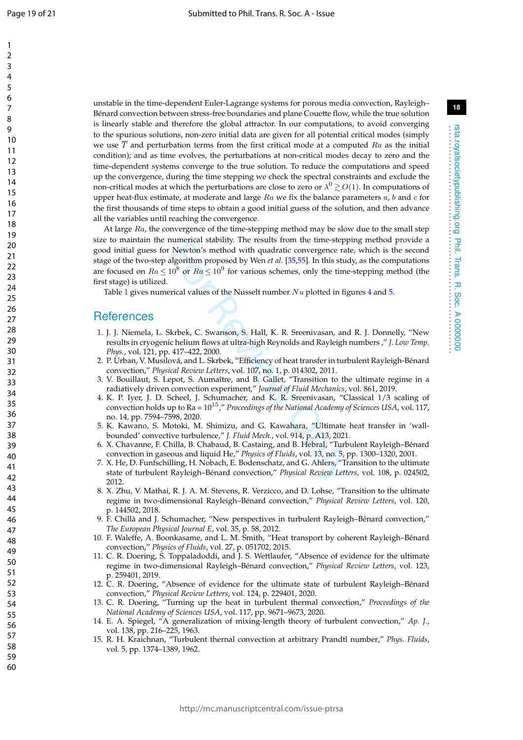$\mathbf{1}$ 

unstable in the time-dependent Euler-Lagrange systems for porous media convection, Rayleigh– Bénard convection between stress-free boundaries and plane Couette flow, while the true solution is linearly stable and therefore the global attractor. In our computations, to avoid converging to the spurious solutions, non-zero initial data are given for all potential critical modes (simply we use  $T$  and perturbation terms from the first critical mode at a computed  $Ra$  as the initial condition); and as time evolves, the perturbations at non-critical modes decay to zero and the time-dependent systems converge to the true solution. To reduce the computations and speed up the convergence, during the time stepping we check the spectral constraints and exclude the non-critical modes at which the perturbations are close to zero or  $\lambda^0 \gtrsim O(1).$  In computations of upper heat-flux estimate, at moderate and large  $Ra$  we fix the balance parameters  $a$ ,  $b$  and  $c$  for the first thousands of time steps to obtain a good initial guess of the solution, and then advance all the variables until reaching the convergence.

For Revious Smethod with qualitatic convergence rate<br>
For Revious's method with qualitatic convergence rate<br>
algorithm proposed by Wen *et al.* [35,55]. In this stude<br>
10<sup>8</sup> or  $Ra \leq 10^9$  for various schemes, only the ti At large  $Ra$ , the convergence of the time-stepping method may be slow due to the small step size to maintain the numerical stability. The results from the time-stepping method provide a good initial guess for Newton's method with quadratic convergence rate, which is the second stage of the two-step algorithm proposed by Wen *et al.* [35 ,55]. In this study, as the computations are focused on  $Ra \leq 10^8$  or  $Ra \leq 10^9$  for various schemes, only the time-stepping method (the first stage) is utilized.

Table 1 gives numerical values of the Nusselt number  $Nu$  plotted in figures 4 and 5.

### **References**

- 1. J. J. Niemela, L. Skrbek, C. Swanson, S. Hall, K. R. Sreenivasan, and R. J. Donnelly, "New results in cryogenic helium flows at ultra-high Reynolds and Rayleigh numbers ," *J. Low Temp. Phys.*, vol. 121, pp. 417–422, 2000.
- 2. P. Urban, V. Musilová, and L. Skrbek, "Efficiency of heat transfer in turbulent Rayleigh-Bénard convection," *Physical Review Letters*, vol. 107, no. 1, p. 014302, 2011.
- 3. V. Bouillaut, S. Lepot, S. Aumaître, and B. Gallet, "Transition to the ultimate regime in a radiatively driven convection experiment," *Journal of Fluid Mechanics*, vol. 861, 2019.
- 4. K. P. Iyer, J. D. Scheel, J. Schumacher, and K. R. Sreenivasan, "Classical 1/3 scaling of convection holds up to Ra = 1015," *Proceedings of the National Academy of Sciences USA*, vol. 117, no. 14, pp. 7594–7598, 2020.
- 5. K. Kawano, S. Motoki, M. Shimizu, and G. Kawahara, "Ultimate heat transfer in 'wallbounded' convective turbulence," *J. Fluid Mech.*, vol. 914, p. A13, 2021.
- 6. X. Chavanne, F. Chilla, B. Chabaud, B. Castaing, and B. Hebral, "Turbulent Rayleigh–Bénard convection in gaseous and liquid He," *Physics of Fluids*, vol. 13, no. 5, pp. 1300–1320, 2001.
- 7. X. He, D. Funfschilling, H. Nobach, E. Bodenschatz, and G. Ahlers, "Transition to the ultimate state of turbulent Rayleigh–Bénard convection," *Physical Review Letters*, vol. 108, p. 024502, 2012.
- 8. X. Zhu, V. Mathai, R. J. A. M. Stevens, R. Verzicco, and D. Lohse, "Transition to the ultimate regime in two-dimensional Rayleigh–Bénard convection," *Physical Review Letters*, vol. 120, p. 144502, 2018.
- 9. F. Chillà and J. Schumacher, "New perspectives in turbulent Rayleigh–Bénard convection," *The European Physical Journal E*, vol. 35, p. 58, 2012.
- 10. F. Waleffe, A. Boonkasame, and L. M. Smith, "Heat transport by coherent Rayleigh–Bénard convection," *Physics of Fluids*, vol. 27, p. 051702, 2015.
- 11. C. R. Doering, S. Toppaladoddi, and J. S. Wettlaufer, "Absence of evidence for the ultimate regime in two-dimensional Rayleigh–Bénard convection," *Physical Review Letters*, vol. 123, p. 259401, 2019.
- 12. C. R. Doering, "Absence of evidence for the ultimate state of turbulent Rayleigh–Bénard convection," *Physical Review Letters*, vol. 124, p. 229401, 2020.
- 13. C. R. Doering, "Turning up the heat in turbulent thermal convection," *Proceedings of the National Academy of Sciences USA*, vol. 117, pp. 9671–9673, 2020.
- 14. E. A. Spiegel, "A generalization of mixing-length theory of turbulent convection," *Ap. J.* , vol. 138, pp. 216–225, 1963.
- 15. R. H. Kraichnan, "Turbulent thernal convection at arbitrary Prandtl number," *Phys. Fluids* , vol. 5, pp. 1374–1389, 1962.

rsta.royalsocietypublishing.org Phil. Trans. R. Soc. A 0000000 . . . . . . . . . . . . . . . . . . . . . . . . . . . . . . . . . . . . . . . . . . . . . . . . . . . . . . . . . . . . . . . . . .

rsta.royalsocietypublishing.org Phil. Trans. R. Soc. A 0000000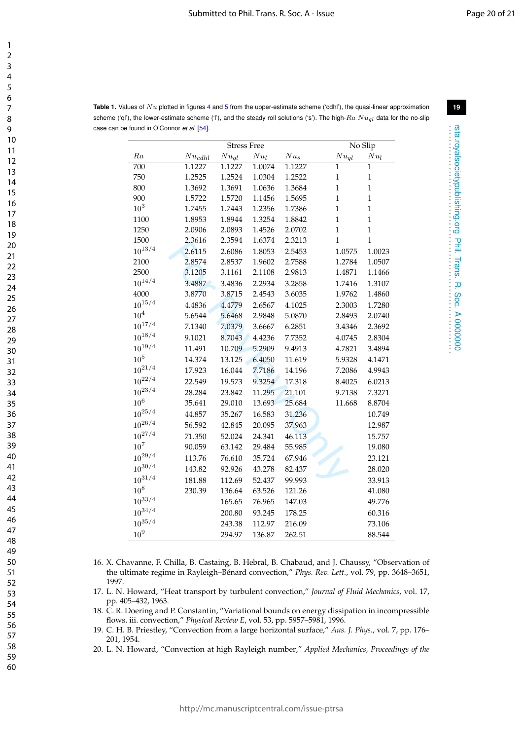rsta.royalsocietypublishing.org Phil. Trans. R. Soc. A 0000000 . . . . . . . . . . . . . . . . . . . . . . . . . . . . . . . . . . . . . . . . . . . . . . . . . . . . . . . . . . . . . . . . . .

rsta.royalsocietypublishing.org Phil. Trans. R. Soc. A 0000000<br>reta.royalsocietypublishing.org Phil. Trans. R. Soc. A 0000000

**Table 1.** Values of  $Nu$  plotted in figures 4 and 5 from the upper-estimate scheme ('cdhl'), the quasi-linear approximation scheme ('ql'), the lower-estimate scheme ('l'), and the steady roll solutions ('s'). The high- $Ra$   $Nu_{al}$  data for the no-slip case can be found in O'Connor *et al.* [54].

|             | <b>Stress Free</b> |           |        |        | No Slip      |              |
|-------------|--------------------|-----------|--------|--------|--------------|--------------|
| ${\it Ra}$  | $Nu_{cdhl}$        | $Nu_{ql}$ | $Nu_l$ | $Nu_s$ | $Nu_{ql}$    | $Nu_l$       |
| 700         | 1.1227             | 1.1227    | 1.0074 | 1.1227 | 1            | 1            |
| 750         | 1.2525             | 1.2524    | 1.0304 | 1.2522 | 1            | $\mathbf{1}$ |
| 800         | 1.3692             | 1.3691    | 1.0636 | 1.3684 | $\mathbf{1}$ | $\mathbf{1}$ |
| 900         | 1.5722             | 1.5720    | 1.1456 | 1.5695 | $\mathbf{1}$ | $\mathbf{1}$ |
| $10^{3}$    | 1.7455             | 1.7443    | 1.2356 | 1.7386 | $\mathbf{1}$ | $\mathbf{1}$ |
| 1100        | 1.8953             | 1.8944    | 1.3254 | 1.8842 | $\mathbf{1}$ | $\mathbf{1}$ |
| 1250        | 2.0906             | 2.0893    | 1.4526 | 2.0702 | $\mathbf{1}$ | $\mathbf{1}$ |
| 1500        | 2.3616             | 2.3594    | 1.6374 | 2.3213 | $\mathbf{1}$ | $\mathbf{1}$ |
| $10^{13/4}$ | 2.6115             | 2.6086    | 1.8053 | 2.5453 | 1.0575       | 1.0023       |
| 2100        | 2.8574             | 2.8537    | 1.9602 | 2.7588 | 1.2784       | 1.0507       |
| 2500        | 3.1205             | 3.1161    | 2.1108 | 2.9813 | 1.4871       | 1.1466       |
| $10^{14/4}$ | 3.4887             | 3.4836    | 2.2934 | 3.2858 | 1.7416       | 1.3107       |
| 4000        | 3.8770             | 3.8715    | 2.4543 | 3.6035 | 1.9762       | 1.4860       |
| $10^{15/4}$ | 4.4836             | 4.4779    | 2.6567 | 4.1025 | 2.3003       | 1.7280       |
| $10^4\,$    | 5.6544             | 5.6468    | 2.9848 | 5.0870 | 2.8493       | 2.0740       |
| $10^{17/4}$ | 7.1340             | 7.0379    | 3.6667 | 6.2851 | 3.4346       | 2.3692       |
| $10^{18/4}$ | 9.1021             | 8.7043    | 4.4236 | 7.7352 | 4.0745       | 2.8304       |
| $10^{19/4}$ | 11.491             | 10.709    | 5.2909 | 9.4913 | 4.7821       | 3.4894       |
| $10^5\,$    | 14.374             | 13.125    | 6.4050 | 11.619 | 5.9328       | 4.1471       |
| $10^{21/4}$ | 17.923             | 16.044    | 7.7186 | 14.196 | 7.2086       | 4.9943       |
| $10^{22/4}$ | 22.549             | 19.573    | 9.3254 | 17.318 | 8.4025       | 6.0213       |
| $10^{23/4}$ | 28.284             | 23.842    | 11.295 | 21.101 | 9.7138       | 7.3271       |
| $10^6\,$    | 35.641             | 29.010    | 13.693 | 25.684 | 11.668       | 8.8704       |
| $10^{25/4}$ | 44.857             | 35.267    | 16.583 | 31.236 |              | 10.749       |
| $10^{26/4}$ | 56.592             | 42.845    | 20.095 | 37.963 |              | 12.987       |
| $10^{27/4}$ | 71.350             | 52.024    | 24.341 | 46.113 |              | 15.757       |
| $10^{7}$    | 90.059             | 63.142    | 29.484 | 55.985 |              | 19.080       |
| $10^{29/4}$ | 113.76             | 76.610    | 35.724 | 67.946 |              | 23.121       |
| $10^{30/4}$ | 143.82             | 92.926    | 43.278 | 82.437 |              | 28.020       |
| $10^{31/4}$ | 181.88             | 112.69    | 52.437 | 99.993 |              | 33.913       |
| $10^8\,$    | 230.39             | 136.64    | 63.526 | 121.26 |              | 41.080       |
| $10^{33/4}$ |                    | 165.65    | 76.965 | 147.03 |              | 49.776       |
| $10^{34/4}$ |                    | 200.80    | 93.245 | 178.25 |              | 60.316       |
| $10^{35/4}$ |                    | 243.38    | 112.97 | 216.09 |              | 73.106       |
| $10^9\,$    |                    | 294.97    | 136.87 | 262.51 |              | 88.544       |

- 16. X. Chavanne, F. Chilla, B. Castaing, B. Hebral, B. Chabaud, and J. Chaussy, "Observation of the ultimate regime in Rayleigh–Bénard convection," *Phys. Rev. Lett.*, vol. 79, pp. 3648–3651, 1997.
- 17. L. N. Howard, "Heat transport by turbulent convection," *Journal of Fluid Mechanics*, vol. 17, pp. 405–432, 1963.
- 18. C. R. Doering and P. Constantin, "Variational bounds on energy dissipation in incompressible flows. iii. convection," *Physical Review E*, vol. 53, pp. 5957–5981, 1996.
- 19. C. H. B. Priestley, "Convection from a large horizontal surface," *Aus. J. Phys.*, vol. 7, pp. 176– 201, 1954.
- 20. L. N. Howard, "Convection at high Rayleigh number," *Applied Mechanics, Proceedings of the*

 $\mathbf{1}$  $\overline{2}$  $\overline{\mathbf{3}}$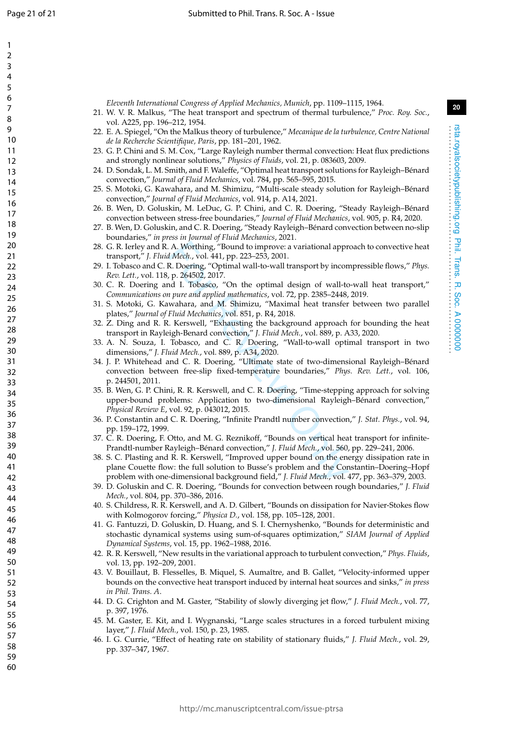$\mathbf{1}$  $\mathcal{P}$  $\overline{3}$  $\overline{4}$ 5 6  $\overline{7}$ 8

q

*Eleventh International Congress of Applied Mechanics, Munich*, pp. 1109–1115, 1964.

- 22. E. A. Spiegel, "On the Malkus theory of turbulence," *Mecanique de la turbulence, Centre National de la Recherche Scientifique, Paris*, pp. 181–201, 1962.
- 23. G. P. Chini and S. M. Cox, "Large Rayleigh number thermal convection: Heat flux predictions and strongly nonlinear solutions," *Physics of Fluids*, vol. 21, p. 083603, 2009.
- 24. D. Sondak, L. M. Smith, and F. Waleffe, "Optimal heat transport solutions for Rayleigh–Bénard convection," *Journal of Fluid Mechanics*, vol. 784, pp. 565–595, 2015.
- 25. S. Motoki, G. Kawahara, and M. Shimizu, "Multi-scale steady solution for Rayleigh–Bénard convection," *Journal of Fluid Mechanics*, vol. 914, p. A14, 2021.
- 26. B. Wen, D. Goluskin, M. LeDuc, G. P. Chini, and C. R. Doering, "Steady Rayleigh–Bénard convection between stress-free boundaries," *Journal of Fluid Mechanics*, vol. 905, p. R4, 2020.
- 27. B. Wen, D. Goluskin, and C. R. Doering, "Steady Rayleigh–Bénard convection between no-slip boundaries," *in press in Journal of Fluid Mechanics*, 2021.
- 28. G. R. Ierley and R. A. Worthing, "Bound to improve: a variational approach to convective heat transport," *J. Fluid Mech.*, vol. 441, pp. 223–253, 2001.
- 29. I. Tobasco and C. R. Doering, "Optimal wall-to-wall transport by incompressible flows," *Phys. Rev. Lett.*, vol. 118, p. 264502, 2017.
- 30. C. R. Doering and I. Tobasco, "On the optimal design of wall-to-wall heat transport," *Communications on pure and applied mathematics*, vol. 72, pp. 2385–2448, 2019.
- 31. S. Motoki, G. Kawahara, and M. Shimizu, "Maximal heat transfer between two parallel plates," *Journal of Fluid Mechanics*, vol. 851, p. R4, 2018.
- 32. Z. Ding and R. R. Kerswell, "Exhausting the background approach for bounding the heat transport in Rayleigh-Benard convection," *J. Fluid Mech.*, vol. 889, p. A33, 2020.
- 33. A. N. Souza, I. Tobasco, and C. R. Doering, "Wall-to-wall optimal transport in two dimensions," *J. Fluid Mech.*, vol. 889, p. A34, 2020.
- A. Worthing, "Bound to improve: a variational appraids the Mech., vol. 441, pp. 223–253, 2001.<br>
R. Doering, "Optimal wall-to-wall transport by incon<br>
p. 264502, 2017.<br>
R. Doering, "Optimal wall-to-wall transport by incon<br> 34. J. P. Whitehead and C. R. Doering, "Ultimate state of two-dimensional Rayleigh–Bénard convection between free-slip fixed-temperature boundaries," *Phys. Rev. Lett.*, vol. 106, p. 244501, 2011.
- 35. B. Wen, G. P. Chini, R. R. Kerswell, and C. R. Doering, "Time-stepping approach for solving upper-bound problems: Application to two-dimensional Rayleigh–Bénard convection," *Physical Review E*, vol. 92, p. 043012, 2015.
- 36. P. Constantin and C. R. Doering, "Infinite Prandtl number convection," *J. Stat. Phys.*, vol. 94, pp. 159–172, 1999.
- 37. C. R. Doering, F. Otto, and M. G. Reznikoff, "Bounds on vertical heat transport for infinite-Prandtl-number Rayleigh–Bénard convection," *J. Fluid Mech.*, vol. 560, pp. 229–241, 2006.
- 38. S. C. Plasting and R. R. Kerswell, "Improved upper bound on the energy dissipation rate in plane Couette flow: the full solution to Busse's problem and the Constantin–Doering–Hopf problem with one-dimensional background field," *J. Fluid Mech.*, vol. 477, pp. 363–379, 2003.
- 39. D. Goluskin and C. R. Doering, "Bounds for convection between rough boundaries," *J. Fluid Mech.*, vol. 804, pp. 370–386, 2016.
- 40. S. Childress, R. R. Kerswell, and A. D. Gilbert, "Bounds on dissipation for Navier-Stokes flow with Kolmogorov forcing," *Physica D.*, vol. 158, pp. 105–128, 2001.
- 41. G. Fantuzzi, D. Goluskin, D. Huang, and S. I. Chernyshenko, "Bounds for deterministic and stochastic dynamical systems using sum-of-squares optimization," *SIAM Journal of Applied Dynamical Systems*, vol. 15, pp. 1962–1988, 2016.
- 42. R. R. Kerswell, "New results in the variational approach to turbulent convection," *Phys. Fluids* , vol. 13, pp. 192–209, 2001.
- 43. V. Bouillaut, B. Flesselles, B. Miquel, S. Aumaître, and B. Gallet, "Velocity-informed upper bounds on the convective heat transport induced by internal heat sources and sinks," *in press in Phil. Trans. A* .
- 44. D. G. Crighton and M. Gaster, "Stability of slowly diverging jet flow," *J. Fluid Mech.*, vol. 77, p. 397, 1976.
- 45. M. Gaster, E. Kit, and I. Wygnanski, "Large scales structures in a forced turbulent mixing layer," *J. Fluid Mech.*, vol. 150, p. 23, 1985.
- 46. I. G. Currie, "Effect of heating rate on stability of stationary fluids," *J. Fluid Mech.*, vol. 29, pp. 337–347, 1967.

rsta.royalsocietypublishing.org Phil. Trans. R. Soc. A 0000000 . . . . . . . . . . . . . . . . . . . . . . . . . . . . . . . . . . . . . . . . . . . . . . . . . . . . . . . . . . . . . . . . . .

Phil. Trans.

**R. Soc. A 0000000** 

rsta.royalsocietypublishing.org